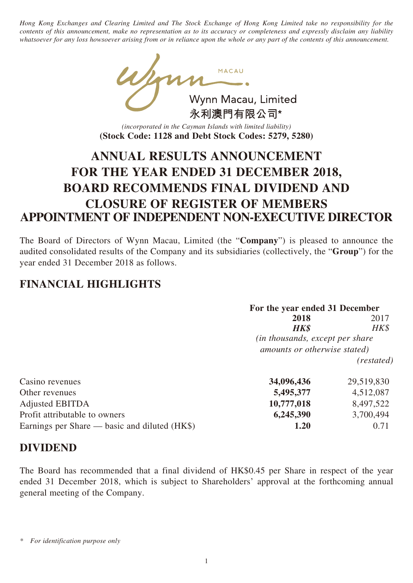*Hong Kong Exchanges and Clearing Limited and The Stock Exchange of Hong Kong Limited take no responsibility for the contents of this announcement, make no representation as to its accuracy or completeness and expressly disclaim any liability whatsoever for any loss howsoever arising from or in reliance upon the whole or any part of the contents of this announcement.*

Wynn Macau, Limited 永利澳門有限公司\*

*(incorporated in the Cayman Islands with limited liability)* **(Stock Code: 1128 and Debt Stock Codes: 5279, 5280)**

# **ANNUAL RESULTS ANNOUNCEMENT FOR THE YEAR ENDED 31 DECEMBER 2018, BOARD RECOMMENDS FINAL DIVIDEND AND CLOSURE OF REGISTER OF MEMBERS APPOINTMENT OF INDEPENDENT NON-EXECUTIVE DIRECTOR**

The Board of Directors of Wynn Macau, Limited (the "**Company**") is pleased to announce the audited consolidated results of the Company and its subsidiaries (collectively, the "**Group**") for the year ended 31 December 2018 as follows.

## **FINANCIAL HIGHLIGHTS**

|                                               | For the year ended 31 December          |            |  |
|-----------------------------------------------|-----------------------------------------|------------|--|
|                                               | 2018                                    | 2017       |  |
|                                               | <b>HK\$</b>                             | $H K$ \$   |  |
|                                               | <i>(in thousands, except per share)</i> |            |  |
|                                               | amounts or otherwise stated)            |            |  |
|                                               |                                         | (restated) |  |
| Casino revenues                               | 34,096,436                              | 29,519,830 |  |
| Other revenues                                | 5,495,377                               | 4,512,087  |  |
| <b>Adjusted EBITDA</b>                        | 10,777,018                              | 8,497,522  |  |
| Profit attributable to owners                 | 6,245,390                               | 3,700,494  |  |
| Earnings per Share — basic and diluted (HK\$) | 1.20                                    | 0.71       |  |

## **DIVIDEND**

The Board has recommended that a final dividend of HK\$0.45 per Share in respect of the year ended 31 December 2018, which is subject to Shareholders' approval at the forthcoming annual general meeting of the Company.

*<sup>\*</sup> For identification purpose only*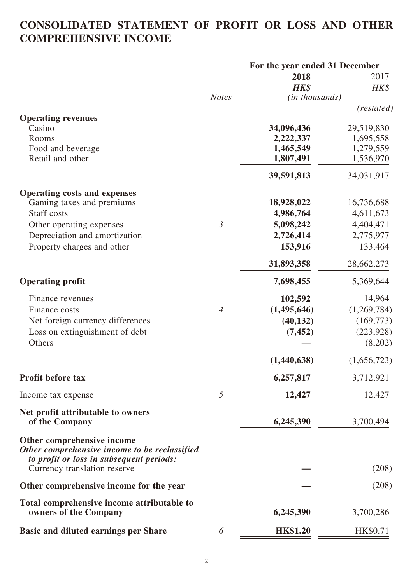## **CONSOLIDATED STATEMENT OF PROFIT OR LOSS AND OTHER COMPREHENSIVE INCOME**

|                                                                                                                                                         |                | For the year ended 31 December |             |  |
|---------------------------------------------------------------------------------------------------------------------------------------------------------|----------------|--------------------------------|-------------|--|
|                                                                                                                                                         |                | 2018                           | 2017        |  |
|                                                                                                                                                         |                | <b>HK\$</b>                    | HK\$        |  |
|                                                                                                                                                         | <b>Notes</b>   | (in thousands)                 |             |  |
|                                                                                                                                                         |                |                                | (restated)  |  |
| <b>Operating revenues</b><br>Casino                                                                                                                     |                | 34,096,436                     | 29,519,830  |  |
| Rooms                                                                                                                                                   |                | 2,222,337                      | 1,695,558   |  |
| Food and beverage                                                                                                                                       |                | 1,465,549                      | 1,279,559   |  |
| Retail and other                                                                                                                                        |                | 1,807,491                      | 1,536,970   |  |
|                                                                                                                                                         |                | 39,591,813                     | 34,031,917  |  |
| <b>Operating costs and expenses</b>                                                                                                                     |                |                                |             |  |
| Gaming taxes and premiums                                                                                                                               |                | 18,928,022                     | 16,736,688  |  |
| <b>Staff</b> costs                                                                                                                                      |                | 4,986,764                      | 4,611,673   |  |
| Other operating expenses                                                                                                                                | $\mathfrak{Z}$ | 5,098,242                      | 4,404,471   |  |
| Depreciation and amortization                                                                                                                           |                | 2,726,414                      | 2,775,977   |  |
| Property charges and other                                                                                                                              |                | 153,916                        | 133,464     |  |
|                                                                                                                                                         |                | 31,893,358                     | 28,662,273  |  |
| <b>Operating profit</b>                                                                                                                                 |                | 7,698,455                      | 5,369,644   |  |
| Finance revenues                                                                                                                                        |                | 102,592                        | 14,964      |  |
| Finance costs                                                                                                                                           | $\overline{4}$ | (1,495,646)                    | (1,269,784) |  |
| Net foreign currency differences                                                                                                                        |                | (40, 132)                      | (169, 773)  |  |
| Loss on extinguishment of debt                                                                                                                          |                | (7, 452)                       | (223, 928)  |  |
| Others                                                                                                                                                  |                |                                | (8,202)     |  |
|                                                                                                                                                         |                | (1,440,638)                    | (1,656,723) |  |
| Profit before tax                                                                                                                                       |                | 6,257,817                      | 3,712,921   |  |
| Income tax expense                                                                                                                                      | 5              | 12,427                         | 12,427      |  |
| Net profit attributable to owners<br>of the Company                                                                                                     |                | 6,245,390                      | 3,700,494   |  |
| Other comprehensive income<br>Other comprehensive income to be reclassified<br>to profit or loss in subsequent periods:<br>Currency translation reserve |                |                                | (208)       |  |
| Other comprehensive income for the year                                                                                                                 |                |                                | (208)       |  |
| Total comprehensive income attributable to<br>owners of the Company                                                                                     |                | 6,245,390                      | 3,700,286   |  |
|                                                                                                                                                         |                |                                |             |  |
| <b>Basic and diluted earnings per Share</b>                                                                                                             | 6              | <b>HK\$1.20</b>                | HK\$0.71    |  |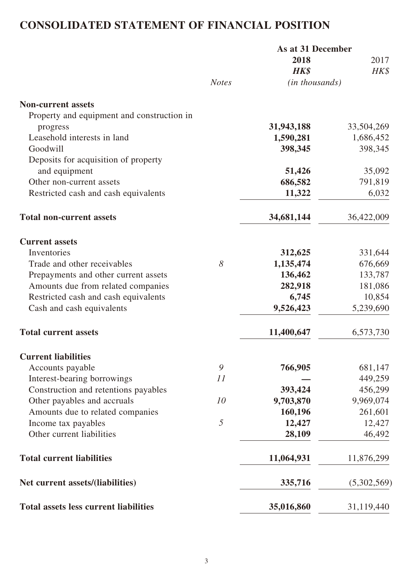# **CONSOLIDATED STATEMENT OF FINANCIAL POSITION**

|                                              |              | As at 31 December |             |
|----------------------------------------------|--------------|-------------------|-------------|
|                                              |              | 2018              | 2017        |
|                                              |              | HK\$              | HK\$        |
|                                              | <b>Notes</b> | (in thousands)    |             |
| <b>Non-current assets</b>                    |              |                   |             |
| Property and equipment and construction in   |              |                   |             |
| progress                                     |              | 31,943,188        | 33,504,269  |
| Leasehold interests in land                  |              | 1,590,281         | 1,686,452   |
| Goodwill                                     |              | 398,345           | 398,345     |
| Deposits for acquisition of property         |              |                   |             |
| and equipment                                |              | 51,426            | 35,092      |
| Other non-current assets                     |              | 686,582           | 791,819     |
| Restricted cash and cash equivalents         |              | 11,322            | 6,032       |
| <b>Total non-current assets</b>              |              | 34,681,144        | 36,422,009  |
| <b>Current assets</b>                        |              |                   |             |
| Inventories                                  |              | 312,625           | 331,644     |
| Trade and other receivables                  | 8            | 1,135,474         | 676,669     |
| Prepayments and other current assets         |              | 136,462           | 133,787     |
| Amounts due from related companies           |              | 282,918           | 181,086     |
| Restricted cash and cash equivalents         |              | 6,745             | 10,854      |
| Cash and cash equivalents                    |              | 9,526,423         | 5,239,690   |
| <b>Total current assets</b>                  |              | 11,400,647        | 6,573,730   |
| <b>Current liabilities</b>                   |              |                   |             |
| Accounts payable                             | 9            | 766,905           | 681,147     |
| Interest-bearing borrowings                  | 11           |                   | 449,259     |
| Construction and retentions payables         |              | 393,424           | 456,299     |
| Other payables and accruals                  | 10           | 9,703,870         | 9,969,074   |
| Amounts due to related companies             |              | 160,196           | 261,601     |
| Income tax payables                          | 5            | 12,427            | 12,427      |
| Other current liabilities                    |              | 28,109            | 46,492      |
| <b>Total current liabilities</b>             |              | 11,064,931        | 11,876,299  |
| Net current assets/(liabilities)             |              | 335,716           | (5,302,569) |
| <b>Total assets less current liabilities</b> |              | 35,016,860        | 31,119,440  |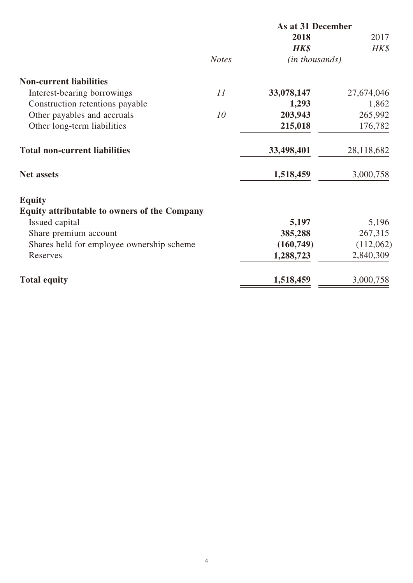|                                              |              | As at 31 December |            |
|----------------------------------------------|--------------|-------------------|------------|
|                                              |              | 2018              | 2017       |
|                                              |              | HK\$              | HK\$       |
|                                              | <b>Notes</b> | (in thousands)    |            |
| <b>Non-current liabilities</b>               |              |                   |            |
| Interest-bearing borrowings                  | 11           | 33,078,147        | 27,674,046 |
| Construction retentions payable              |              | 1,293             | 1,862      |
| Other payables and accruals                  | 10           | 203,943           | 265,992    |
| Other long-term liabilities                  |              | 215,018           | 176,782    |
| <b>Total non-current liabilities</b>         |              | 33,498,401        | 28,118,682 |
| <b>Net assets</b>                            |              | 1,518,459         | 3,000,758  |
| <b>Equity</b>                                |              |                   |            |
| Equity attributable to owners of the Company |              |                   |            |
| Issued capital                               |              | 5,197             | 5,196      |
| Share premium account                        |              | 385,288           | 267,315    |
| Shares held for employee ownership scheme    |              | (160, 749)        | (112,062)  |
| Reserves                                     |              | 1,288,723         | 2,840,309  |
| <b>Total equity</b>                          |              | 1,518,459         | 3,000,758  |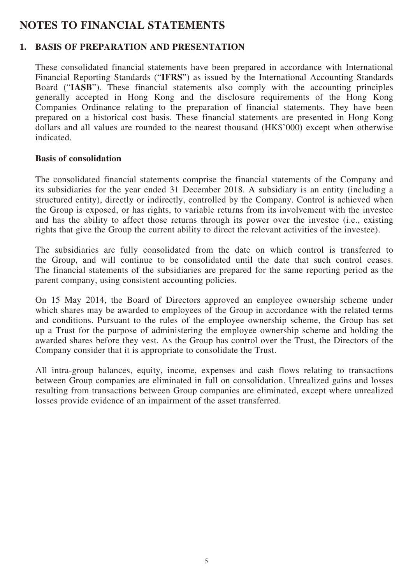## **NOTES TO FINANCIAL STATEMENTS**

## **1. BASIS OF PREPARATION AND PRESENTATION**

These consolidated financial statements have been prepared in accordance with International Financial Reporting Standards ("**IFRS**") as issued by the International Accounting Standards Board ("**IASB**"). These financial statements also comply with the accounting principles generally accepted in Hong Kong and the disclosure requirements of the Hong Kong Companies Ordinance relating to the preparation of financial statements. They have been prepared on a historical cost basis. These financial statements are presented in Hong Kong dollars and all values are rounded to the nearest thousand (HK\$'000) except when otherwise indicated.

#### **Basis of consolidation**

The consolidated financial statements comprise the financial statements of the Company and its subsidiaries for the year ended 31 December 2018. A subsidiary is an entity (including a structured entity), directly or indirectly, controlled by the Company. Control is achieved when the Group is exposed, or has rights, to variable returns from its involvement with the investee and has the ability to affect those returns through its power over the investee (i.e., existing rights that give the Group the current ability to direct the relevant activities of the investee).

The subsidiaries are fully consolidated from the date on which control is transferred to the Group, and will continue to be consolidated until the date that such control ceases. The financial statements of the subsidiaries are prepared for the same reporting period as the parent company, using consistent accounting policies.

On 15 May 2014, the Board of Directors approved an employee ownership scheme under which shares may be awarded to employees of the Group in accordance with the related terms and conditions. Pursuant to the rules of the employee ownership scheme, the Group has set up a Trust for the purpose of administering the employee ownership scheme and holding the awarded shares before they vest. As the Group has control over the Trust, the Directors of the Company consider that it is appropriate to consolidate the Trust.

All intra-group balances, equity, income, expenses and cash flows relating to transactions between Group companies are eliminated in full on consolidation. Unrealized gains and losses resulting from transactions between Group companies are eliminated, except where unrealized losses provide evidence of an impairment of the asset transferred.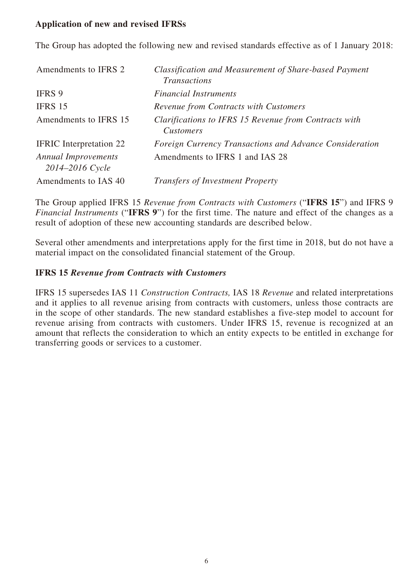## **Application of new and revised IFRSs**

The Group has adopted the following new and revised standards effective as of 1 January 2018:

| Amendments to IFRS 2                          | Classification and Measurement of Share-based Payment<br><b>Transactions</b> |
|-----------------------------------------------|------------------------------------------------------------------------------|
| IFRS 9                                        | <b>Financial Instruments</b>                                                 |
| IFRS 15                                       | Revenue from Contracts with Customers                                        |
| Amendments to IFRS 15                         | Clarifications to IFRS 15 Revenue from Contracts with<br><b>Customers</b>    |
| <b>IFRIC</b> Interpretation 22                | Foreign Currency Transactions and Advance Consideration                      |
| <b>Annual Improvements</b><br>2014–2016 Cycle | Amendments to IFRS 1 and IAS 28                                              |
| Amendments to IAS 40                          | <b>Transfers of Investment Property</b>                                      |

The Group applied IFRS 15 *Revenue from Contracts with Customers* ("**IFRS 15**") and IFRS 9 *Financial Instruments* ("**IFRS 9**") for the first time. The nature and effect of the changes as a result of adoption of these new accounting standards are described below.

Several other amendments and interpretations apply for the first time in 2018, but do not have a material impact on the consolidated financial statement of the Group.

#### **IFRS 15** *Revenue from Contracts with Customers*

IFRS 15 supersedes IAS 11 *Construction Contracts,* IAS 18 *Revenue* and related interpretations and it applies to all revenue arising from contracts with customers, unless those contracts are in the scope of other standards. The new standard establishes a five-step model to account for revenue arising from contracts with customers. Under IFRS 15, revenue is recognized at an amount that reflects the consideration to which an entity expects to be entitled in exchange for transferring goods or services to a customer.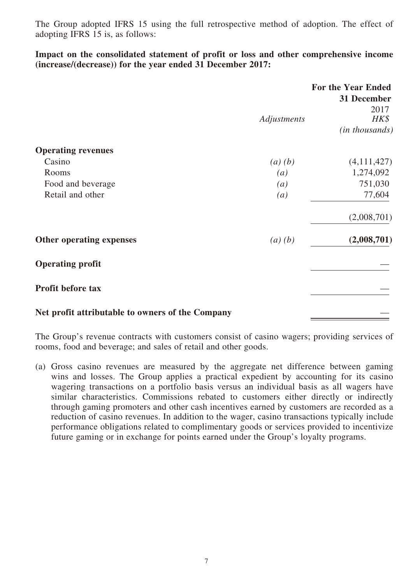The Group adopted IFRS 15 using the full retrospective method of adoption. The effect of adopting IFRS 15 is, as follows:

**Impact on the consolidated statement of profit or loss and other comprehensive income (increase/(decrease)) for the year ended 31 December 2017:**

|                                                  |                   | <b>For the Year Ended</b><br>31 December |
|--------------------------------------------------|-------------------|------------------------------------------|
|                                                  | Adjustments       | 2017<br>$H K$ \$                         |
|                                                  |                   | ( <i>in thousands</i> )                  |
| <b>Operating revenues</b>                        |                   |                                          |
| Casino                                           | (a)(b)            | (4,111,427)                              |
| Rooms                                            | $\left( a\right)$ | 1,274,092                                |
| Food and beverage                                | $\left(a\right)$  | 751,030                                  |
| Retail and other                                 | $\left( a\right)$ | 77,604                                   |
|                                                  |                   | (2,008,701)                              |
| Other operating expenses                         | (a)(b)            | (2,008,701)                              |
| <b>Operating profit</b>                          |                   |                                          |
| <b>Profit before tax</b>                         |                   |                                          |
| Net profit attributable to owners of the Company |                   |                                          |

The Group's revenue contracts with customers consist of casino wagers; providing services of rooms, food and beverage; and sales of retail and other goods.

(a) Gross casino revenues are measured by the aggregate net difference between gaming wins and losses. The Group applies a practical expedient by accounting for its casino wagering transactions on a portfolio basis versus an individual basis as all wagers have similar characteristics. Commissions rebated to customers either directly or indirectly through gaming promoters and other cash incentives earned by customers are recorded as a reduction of casino revenues. In addition to the wager, casino transactions typically include performance obligations related to complimentary goods or services provided to incentivize future gaming or in exchange for points earned under the Group's loyalty programs.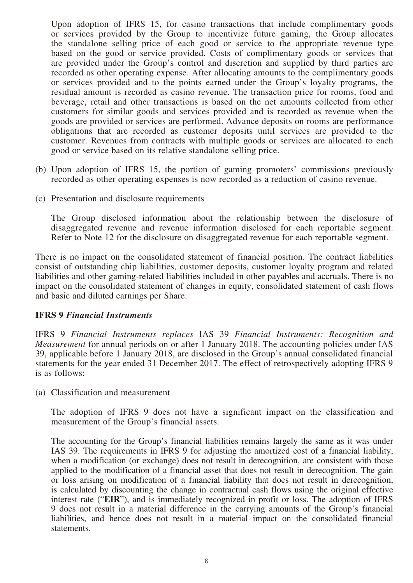Upon adoption of IFRS 15, for casino transactions that include complimentary goods or services provided by the Group to incentivize future gaming, the Group allocates the standalone selling price of each good or service to the appropriate revenue type based on the good or service provided. Costs of complimentary goods or services that are provided under the Group's control and discretion and supplied by third parties are recorded as other operating expense. After allocating amounts to the complimentary goods or services provided and to the points earned under the Group's loyalty programs, the residual amount is recorded as casino revenue. The transaction price for rooms, food and beverage, retail and other transactions is based on the net amounts collected from other customers for similar goods and services provided and is recorded as revenue when the goods are provided or services are performed. Advance deposits on rooms are performance obligations that are recorded as customer deposits until services are provided to the customer. Revenues from contracts with multiple goods or services are allocated to each good or service based on its relative standalone selling price.

- (b) Upon adoption of IFRS 15, the portion of gaming promoters' commissions previously recorded as other operating expenses is now recorded as a reduction of casino revenue.
- (c) Presentation and disclosure requirements

The Group disclosed information about the relationship between the disclosure of disaggregated revenue and revenue information disclosed for each reportable segment. Refer to Note 12 for the disclosure on disaggregated revenue for each reportable segment.

There is no impact on the consolidated statement of financial position. The contract liabilities consist of outstanding chip liabilities, customer deposits, customer loyalty program and related liabilities and other gaming-related liabilities included in other payables and accruals. There is no impact on the consolidated statement of changes in equity, consolidated statement of cash flows and basic and diluted earnings per Share.

#### **IFRS 9** *Financial Instruments*

IFRS 9 *Financial Instruments replaces* IAS 39 *Financial Instruments: Recognition and Measurement* for annual periods on or after 1 January 2018. The accounting policies under IAS 39, applicable before 1 January 2018, are disclosed in the Group's annual consolidated financial statements for the year ended 31 December 2017. The effect of retrospectively adopting IFRS 9 is as follows:

(a) Classification and measurement

The adoption of IFRS 9 does not have a significant impact on the classification and measurement of the Group's financial assets.

The accounting for the Group's financial liabilities remains largely the same as it was under IAS 39. The requirements in IFRS 9 for adjusting the amortized cost of a financial liability, when a modification (or exchange) does not result in derecognition, are consistent with those applied to the modification of a financial asset that does not result in derecognition. The gain or loss arising on modification of a financial liability that does not result in derecognition, is calculated by discounting the change in contractual cash flows using the original effective interest rate ("**EIR**"), and is immediately recognized in profit or loss. The adoption of IFRS 9 does not result in a material difference in the carrying amounts of the Group's financial liabilities, and hence does not result in a material impact on the consolidated financial statements.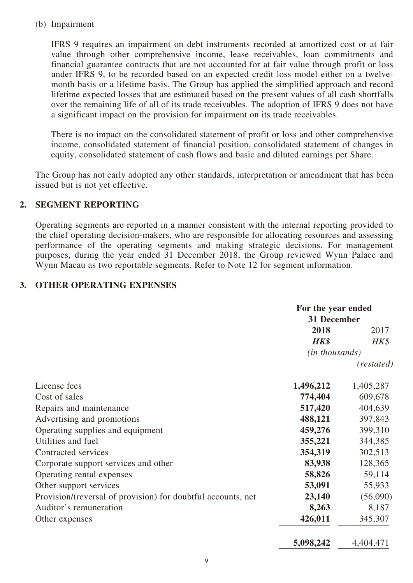#### (b) Impairment

IFRS 9 requires an impairment on debt instruments recorded at amortized cost or at fair value through other comprehensive income, lease receivables, loan commitments and financial guarantee contracts that are not accounted for at fair value through profit or loss under IFRS 9, to be recorded based on an expected credit loss model either on a twelvemonth basis or a lifetime basis. The Group has applied the simplified approach and record lifetime expected losses that are estimated based on the present values of all cash shortfalls over the remaining life of all of its trade receivables. The adoption of IFRS 9 does not have a significant impact on the provision for impairment on its trade receivables.

There is no impact on the consolidated statement of profit or loss and other comprehensive income, consolidated statement of financial position, consolidated statement of changes in equity, consolidated statement of cash flows and basic and diluted earnings per Share.

The Group has not early adopted any other standards, interpretation or amendment that has been issued but is not yet effective.

### **2. SEGMENT REPORTING**

Operating segments are reported in a manner consistent with the internal reporting provided to the chief operating decision-makers, who are responsible for allocating resources and assessing performance of the operating segments and making strategic decisions. For management purposes, during the year ended 31 December 2018, the Group reviewed Wynn Palace and Wynn Macau as two reportable segments. Refer to Note 12 for segment information.

### **3. OTHER OPERATING EXPENSES**

|                                                              | For the year ended      |            |
|--------------------------------------------------------------|-------------------------|------------|
|                                                              | 31 December             |            |
|                                                              | 2018<br>2017            |            |
|                                                              | HK\$                    | HK\$       |
|                                                              | ( <i>in thousands</i> ) |            |
|                                                              |                         | (restated) |
| License fees                                                 | 1,496,212               | 1,405,287  |
| Cost of sales                                                | 774,404                 | 609,678    |
| Repairs and maintenance                                      | 517,420                 | 404,639    |
| Advertising and promotions                                   | 488,121                 | 397,843    |
| Operating supplies and equipment                             | 459,276                 | 399,310    |
| Utilities and fuel                                           | 355,221                 | 344,385    |
| Contracted services                                          | 354,319                 | 302,513    |
| Corporate support services and other                         | 83,938                  | 128,365    |
| Operating rental expenses                                    | 58,826                  | 59,114     |
| Other support services                                       | 53,091                  | 55,933     |
| Provision/(reversal of provision) for doubtful accounts, net | 23,140                  | (56,090)   |
| Auditor's remuneration                                       | 8,263                   | 8,187      |
| Other expenses                                               | 426,011                 | 345,307    |

| 4,404,471<br>5,098,242 |
|------------------------|
|------------------------|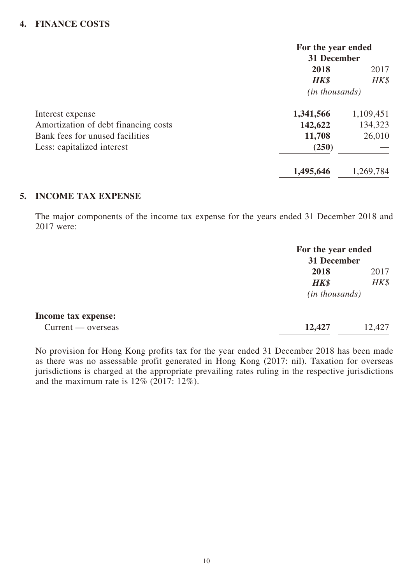## **4. FINANCE COSTS**

|                                      | For the year ended<br>31 December |           |  |
|--------------------------------------|-----------------------------------|-----------|--|
|                                      |                                   |           |  |
|                                      | 2018                              | 2017      |  |
|                                      | HK\$                              | $H K$ \$  |  |
|                                      | ( <i>in thousands</i> )           |           |  |
| Interest expense                     | 1,341,566                         | 1,109,451 |  |
| Amortization of debt financing costs | 142,622                           | 134,323   |  |
| Bank fees for unused facilities      | 11,708                            | 26,010    |  |
| Less: capitalized interest           | (250)                             |           |  |
|                                      | 1,495,646                         | 1,269,784 |  |

### **5. INCOME TAX EXPENSE**

The major components of the income tax expense for the years ended 31 December 2018 and 2017 were:

|                     |                  | For the year ended<br>31 December |  |  |
|---------------------|------------------|-----------------------------------|--|--|
|                     | 2018             | 2017                              |  |  |
|                     | HK\$             | HK\$                              |  |  |
|                     | $(in$ thousands) |                                   |  |  |
| Income tax expense: |                  |                                   |  |  |
| Current — overseas  | 12,427           | 12,427                            |  |  |

No provision for Hong Kong profits tax for the year ended 31 December 2018 has been made as there was no assessable profit generated in Hong Kong (2017: nil). Taxation for overseas jurisdictions is charged at the appropriate prevailing rates ruling in the respective jurisdictions and the maximum rate is  $12\%$  (2017: 12%).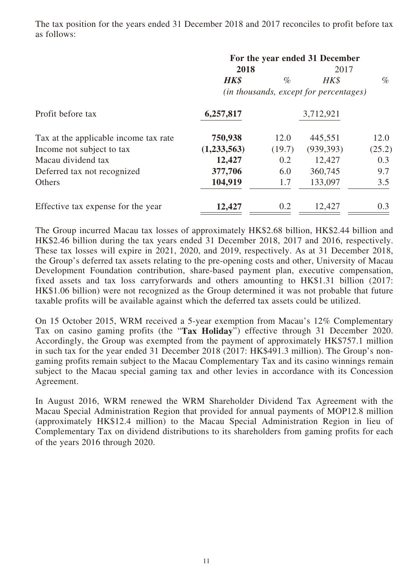The tax position for the years ended 31 December 2018 and 2017 reconciles to profit before tax as follows:

|                                       | For the year ended 31 December<br>2018<br>2017 |        |            |        |
|---------------------------------------|------------------------------------------------|--------|------------|--------|
|                                       | <b>HK\$</b>                                    | $\%$   | HK\$       | $\%$   |
|                                       | (in thousands, except for percentages)         |        |            |        |
| Profit before tax                     | 6,257,817                                      |        | 3,712,921  |        |
| Tax at the applicable income tax rate | 750,938                                        | 12.0   | 445,551    | 12.0   |
| Income not subject to tax             | (1,233,563)                                    | (19.7) | (939, 393) | (25.2) |
| Macau dividend tax                    | 12,427                                         | 0.2    | 12,427     | 0.3    |
| Deferred tax not recognized           | 377,706                                        | 6.0    | 360,745    | 9.7    |
| Others                                | 104,919                                        | 1.7    | 133,097    | 3.5    |
| Effective tax expense for the year    | 12,427                                         | 0.2    | 12,427     | 0.3    |

The Group incurred Macau tax losses of approximately HK\$2.68 billion, HK\$2.44 billion and HK\$2.46 billion during the tax years ended 31 December 2018, 2017 and 2016, respectively. These tax losses will expire in 2021, 2020, and 2019, respectively. As at 31 December 2018, the Group's deferred tax assets relating to the pre-opening costs and other, University of Macau Development Foundation contribution, share-based payment plan, executive compensation, fixed assets and tax loss carryforwards and others amounting to HK\$1.31 billion (2017: HK\$1.06 billion) were not recognized as the Group determined it was not probable that future taxable profits will be available against which the deferred tax assets could be utilized.

On 15 October 2015, WRM received a 5-year exemption from Macau's 12% Complementary Tax on casino gaming profits (the "**Tax Holiday**") effective through 31 December 2020. Accordingly, the Group was exempted from the payment of approximately HK\$757.1 million in such tax for the year ended 31 December 2018 (2017: HK\$491.3 million). The Group's nongaming profits remain subject to the Macau Complementary Tax and its casino winnings remain subject to the Macau special gaming tax and other levies in accordance with its Concession Agreement.

In August 2016, WRM renewed the WRM Shareholder Dividend Tax Agreement with the Macau Special Administration Region that provided for annual payments of MOP12.8 million (approximately HK\$12.4 million) to the Macau Special Administration Region in lieu of Complementary Tax on dividend distributions to its shareholders from gaming profits for each of the years 2016 through 2020.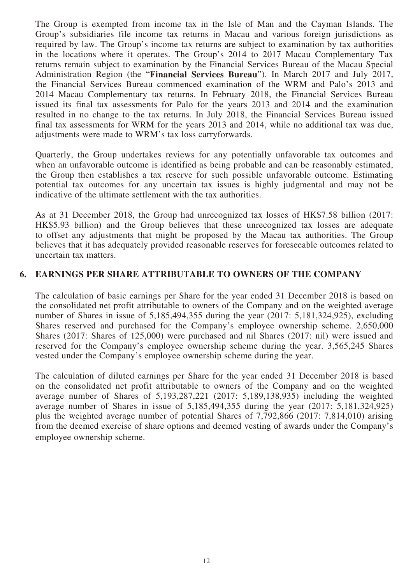The Group is exempted from income tax in the Isle of Man and the Cayman Islands. The Group's subsidiaries file income tax returns in Macau and various foreign jurisdictions as required by law. The Group's income tax returns are subject to examination by tax authorities in the locations where it operates. The Group's 2014 to 2017 Macau Complementary Tax returns remain subject to examination by the Financial Services Bureau of the Macau Special Administration Region (the "**Financial Services Bureau**"). In March 2017 and July 2017, the Financial Services Bureau commenced examination of the WRM and Palo's 2013 and 2014 Macau Complementary tax returns. In February 2018, the Financial Services Bureau issued its final tax assessments for Palo for the years 2013 and 2014 and the examination resulted in no change to the tax returns. In July 2018, the Financial Services Bureau issued final tax assessments for WRM for the years 2013 and 2014, while no additional tax was due, adjustments were made to WRM's tax loss carryforwards.

Quarterly, the Group undertakes reviews for any potentially unfavorable tax outcomes and when an unfavorable outcome is identified as being probable and can be reasonably estimated, the Group then establishes a tax reserve for such possible unfavorable outcome. Estimating potential tax outcomes for any uncertain tax issues is highly judgmental and may not be indicative of the ultimate settlement with the tax authorities.

As at 31 December 2018, the Group had unrecognized tax losses of HK\$7.58 billion (2017: HK\$5.93 billion) and the Group believes that these unrecognized tax losses are adequate to offset any adjustments that might be proposed by the Macau tax authorities. The Group believes that it has adequately provided reasonable reserves for foreseeable outcomes related to uncertain tax matters.

### **6. EARNINGS PER SHARE ATTRIBUTABLE TO OWNERS OF THE COMPANY**

The calculation of basic earnings per Share for the year ended 31 December 2018 is based on the consolidated net profit attributable to owners of the Company and on the weighted average number of Shares in issue of 5,185,494,355 during the year (2017: 5,181,324,925), excluding Shares reserved and purchased for the Company's employee ownership scheme. 2,650,000 Shares (2017: Shares of 125,000) were purchased and nil Shares (2017: nil) were issued and reserved for the Company's employee ownership scheme during the year. 3,565,245 Shares vested under the Company's employee ownership scheme during the year.

The calculation of diluted earnings per Share for the year ended 31 December 2018 is based on the consolidated net profit attributable to owners of the Company and on the weighted average number of Shares of 5,193,287,221 (2017: 5,189,138,935) including the weighted average number of Shares in issue of 5,185,494,355 during the year (2017: 5,181,324,925) plus the weighted average number of potential Shares of 7,792,866 (2017: 7,814,010) arising from the deemed exercise of share options and deemed vesting of awards under the Company's employee ownership scheme.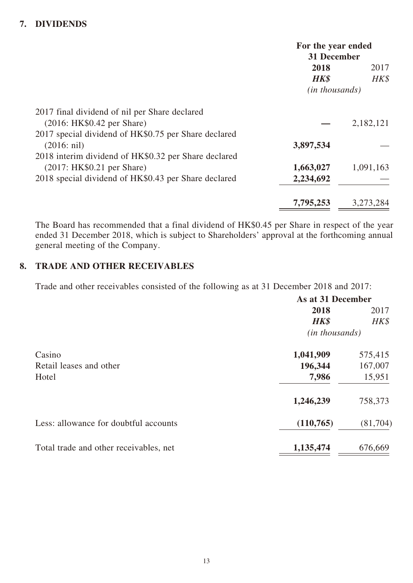## **7. DIVIDENDS**

|                                                      | For the year ended<br>31 December |           |
|------------------------------------------------------|-----------------------------------|-----------|
|                                                      | 2018                              | 2017      |
|                                                      | <b>HK\$</b>                       | HK\$      |
|                                                      | ( <i>in thousands</i> )           |           |
| 2017 final dividend of nil per Share declared        |                                   |           |
| (2016: HK\$0.42 per Share)                           |                                   | 2,182,121 |
| 2017 special dividend of HK\$0.75 per Share declared |                                   |           |
| $(2016: \text{nil})$                                 | 3,897,534                         |           |
| 2018 interim dividend of HK\$0.32 per Share declared |                                   |           |
| (2017: HK\$0.21 per Share)                           | 1,663,027                         | 1,091,163 |
| 2018 special dividend of HK\$0.43 per Share declared | 2,234,692                         |           |
|                                                      | 7,795,253                         | 3,273,284 |

The Board has recommended that a final dividend of HK\$0.45 per Share in respect of the year ended 31 December 2018, which is subject to Shareholders' approval at the forthcoming annual general meeting of the Company.

### **8. TRADE AND OTHER RECEIVABLES**

Trade and other receivables consisted of the following as at 31 December 2018 and 2017:

|                                        | As at 31 December       |          |
|----------------------------------------|-------------------------|----------|
|                                        | 2018                    | 2017     |
|                                        | <b>HK\$</b>             | HK\$     |
|                                        | ( <i>in thousands</i> ) |          |
| Casino                                 | 1,041,909               | 575,415  |
| Retail leases and other                | 196,344                 | 167,007  |
| Hotel                                  | 7,986                   | 15,951   |
|                                        | 1,246,239               | 758,373  |
| Less: allowance for doubtful accounts  | (110, 765)              | (81,704) |
| Total trade and other receivables, net | 1,135,474               | 676,669  |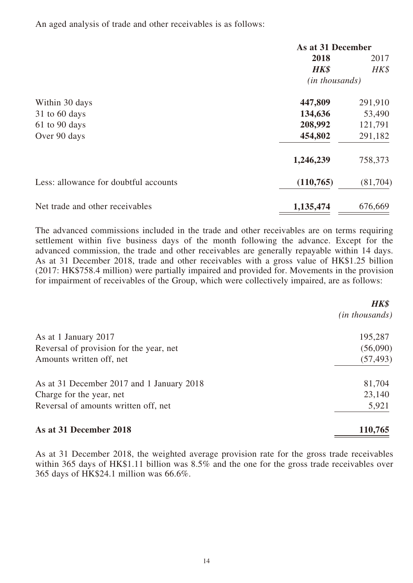An aged analysis of trade and other receivables is as follows:

|                                       | As at 31 December       |           |
|---------------------------------------|-------------------------|-----------|
|                                       | 2018                    | 2017      |
|                                       | <b>HK\$</b>             | HK\$      |
|                                       | ( <i>in thousands</i> ) |           |
| Within 30 days                        | 447,809                 | 291,910   |
| $31$ to 60 days                       | 134,636                 | 53,490    |
| 61 to 90 days                         | 208,992                 | 121,791   |
| Over 90 days                          | 454,802                 | 291,182   |
|                                       | 1,246,239               | 758,373   |
| Less: allowance for doubtful accounts | (110, 765)              | (81, 704) |
| Net trade and other receivables       | 1,135,474               | 676,669   |

The advanced commissions included in the trade and other receivables are on terms requiring settlement within five business days of the month following the advance. Except for the advanced commission, the trade and other receivables are generally repayable within 14 days. As at 31 December 2018, trade and other receivables with a gross value of HK\$1.25 billion (2017: HK\$758.4 million) were partially impaired and provided for. Movements in the provision for impairment of receivables of the Group, which were collectively impaired, are as follows:

|                                           | <b>HK\$</b><br><i>(in thousands)</i> |
|-------------------------------------------|--------------------------------------|
| As at 1 January 2017                      | 195,287                              |
| Reversal of provision for the year, net   | (56,090)                             |
| Amounts written off, net                  | (57, 493)                            |
| As at 31 December 2017 and 1 January 2018 | 81,704                               |
| Charge for the year, net                  | 23,140                               |
| Reversal of amounts written off, net      | 5,921                                |
| As at 31 December 2018                    | 110,765                              |

As at 31 December 2018, the weighted average provision rate for the gross trade receivables within 365 days of HK\$1.11 billion was 8.5% and the one for the gross trade receivables over 365 days of HK\$24.1 million was 66.6%.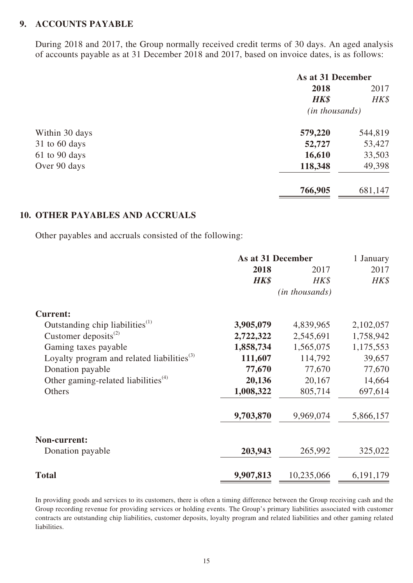#### **9. ACCOUNTS PAYABLE**

During 2018 and 2017, the Group normally received credit terms of 30 days. An aged analysis of accounts payable as at 31 December 2018 and 2017, based on invoice dates, is as follows:

|                 | As at 31 December       |         |
|-----------------|-------------------------|---------|
|                 | 2018                    | 2017    |
|                 | <b>HK\$</b>             | HK\$    |
|                 | ( <i>in thousands</i> ) |         |
| Within 30 days  | 579,220                 | 544,819 |
| $31$ to 60 days | 52,727                  | 53,427  |
| $61$ to 90 days | 16,610                  | 33,503  |
| Over 90 days    | 118,348                 | 49,398  |
|                 | 766,905                 | 681,147 |

#### **10. OTHER PAYABLES AND ACCRUALS**

Other payables and accruals consisted of the following:

|                                                              | As at 31 December |                         | 1 January   |
|--------------------------------------------------------------|-------------------|-------------------------|-------------|
|                                                              | 2018              | 2017                    | 2017        |
|                                                              | HK\$              | HK\$                    | $H K$ \$    |
|                                                              |                   | ( <i>in thousands</i> ) |             |
| <b>Current:</b>                                              |                   |                         |             |
| Outstanding chip liabilities <sup>(1)</sup>                  | 3,905,079         | 4,839,965               | 2,102,057   |
| Customer deposits $^{(2)}$                                   | 2,722,322         | 2,545,691               | 1,758,942   |
| Gaming taxes payable                                         | 1,858,734         | 1,565,075               | 1,175,553   |
| Loyalty program and related liabilities <sup>(3)</sup>       | 111,607           | 114,792                 | 39,657      |
| Donation payable                                             | 77,670            | 77,670                  | 77,670      |
| Other gaming-related liabilities <sup><math>(4)</math></sup> | 20,136            | 20,167                  | 14,664      |
| Others                                                       | 1,008,322         | 805,714                 | 697,614     |
|                                                              | 9,703,870         | 9,969,074               | 5,866,157   |
| Non-current:                                                 |                   |                         |             |
| Donation payable                                             | 203,943           | 265,992                 | 325,022     |
| <b>Total</b>                                                 | 9,907,813         | 10,235,066              | 6, 191, 179 |

In providing goods and services to its customers, there is often a timing difference between the Group receiving cash and the Group recording revenue for providing services or holding events. The Group's primary liabilities associated with customer contracts are outstanding chip liabilities, customer deposits, loyalty program and related liabilities and other gaming related liabilities.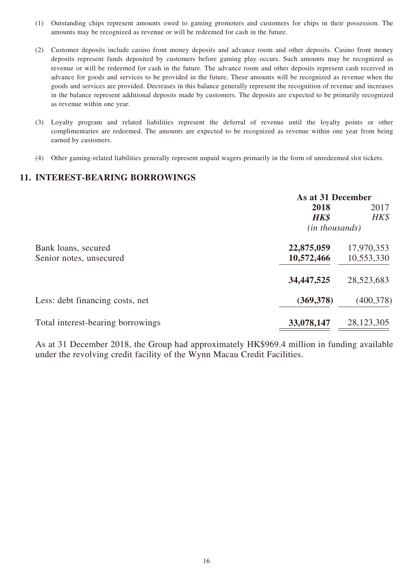- (1) Outstanding chips represent amounts owed to gaming promoters and customers for chips in their possession. The amounts may be recognized as revenue or will be redeemed for cash in the future.
- (2) Customer deposits include casino front money deposits and advance room and other deposits. Casino front money deposits represent funds deposited by customers before gaming play occurs. Such amounts may be recognized as revenue or will be redeemed for cash in the future. The advance room and other deposits represent cash received in advance for goods and services to be provided in the future. These amounts will be recognized as revenue when the goods and services are provided. Decreases in this balance generally represent the recognition of revenue and increases in the balance represent additional deposits made by customers. The deposits are expected to be primarily recognized as revenue within one year.
- (3) Loyalty program and related liabilities represent the deferral of revenue until the loyalty points or other complimentaries are redeemed. The amounts are expected to be recognized as revenue within one year from being earned by customers.
- (4) Other gaming-related liabilities generally represent unpaid wagers primarily in the form of unredeemed slot tickets.

#### **11. INTEREST-BEARING BORROWINGS**

|                                   | As at 31 December       |              |
|-----------------------------------|-------------------------|--------------|
|                                   | 2018                    | 2017         |
|                                   | HK\$                    | HK\$         |
|                                   | ( <i>in thousands</i> ) |              |
| Bank loans, secured               | 22,875,059              | 17,970,353   |
| Senior notes, unsecured           | 10,572,466              | 10,553,330   |
|                                   | 34, 447, 525            | 28,523,683   |
| Less: debt financing costs, net   | (369, 378)              | (400, 378)   |
| Total interest-bearing borrowings | 33,078,147              | 28, 123, 305 |

As at 31 December 2018, the Group had approximately HK\$969.4 million in funding available under the revolving credit facility of the Wynn Macau Credit Facilities.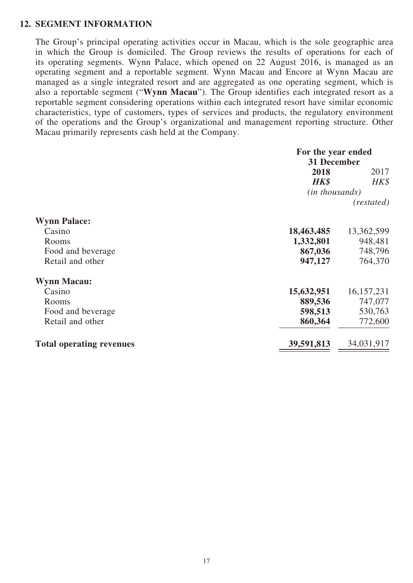#### **12. SEGMENT INFORMATION**

The Group's principal operating activities occur in Macau, which is the sole geographic area in which the Group is domiciled. The Group reviews the results of operations for each of its operating segments. Wynn Palace, which opened on 22 August 2016, is managed as an operating segment and a reportable segment. Wynn Macau and Encore at Wynn Macau are managed as a single integrated resort and are aggregated as one operating segment, which is also a reportable segment ("**Wynn Macau**"). The Group identifies each integrated resort as a reportable segment considering operations within each integrated resort have similar economic characteristics, type of customers, types of services and products, the regulatory environment of the operations and the Group's organizational and management reporting structure. Other Macau primarily represents cash held at the Company.

|                                 | For the year ended |              |
|---------------------------------|--------------------|--------------|
|                                 | 31 December        |              |
|                                 | 2018               | 2017         |
|                                 | <b>HK\$</b>        | HK\$         |
|                                 | (in thousands)     |              |
|                                 |                    | (restated)   |
| <b>Wynn Palace:</b>             |                    |              |
| Casino                          | 18,463,485         | 13,362,599   |
| Rooms                           | 1,332,801          | 948,481      |
| Food and beverage               | 867,036            | 748,796      |
| Retail and other                | 947,127            | 764,370      |
| <b>Wynn Macau:</b>              |                    |              |
| Casino                          | 15,632,951         | 16, 157, 231 |
| Rooms                           | 889,536            | 747,077      |
| Food and beverage               | 598,513            | 530,763      |
| Retail and other                | 860,364            | 772,600      |
| <b>Total operating revenues</b> | 39,591,813         | 34,031,917   |
|                                 |                    |              |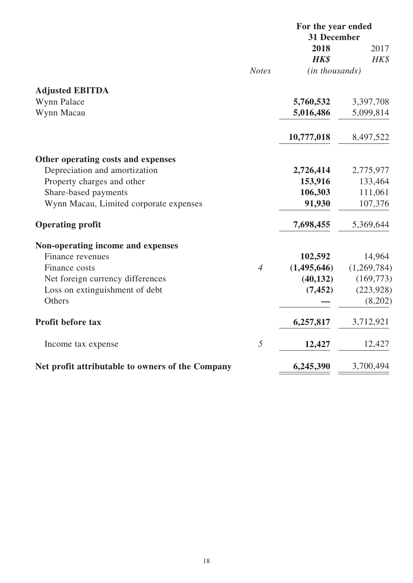|                                                  |                | For the year ended<br>31 December |             |
|--------------------------------------------------|----------------|-----------------------------------|-------------|
|                                                  |                | 2018                              | 2017        |
|                                                  |                | <b>HK\$</b>                       | HK\$        |
|                                                  | <b>Notes</b>   | (in thousands)                    |             |
| <b>Adjusted EBITDA</b>                           |                |                                   |             |
| Wynn Palace                                      |                | 5,760,532                         | 3,397,708   |
| Wynn Macau                                       |                | 5,016,486                         | 5,099,814   |
|                                                  |                | 10,777,018                        | 8,497,522   |
| Other operating costs and expenses               |                |                                   |             |
| Depreciation and amortization                    |                | 2,726,414                         | 2,775,977   |
| Property charges and other                       |                | 153,916                           | 133,464     |
| Share-based payments                             |                | 106,303                           | 111,061     |
| Wynn Macau, Limited corporate expenses           |                | 91,930                            | 107,376     |
| <b>Operating profit</b>                          |                | 7,698,455                         | 5,369,644   |
| Non-operating income and expenses                |                |                                   |             |
| Finance revenues                                 |                | 102,592                           | 14,964      |
| Finance costs                                    | $\overline{4}$ | (1,495,646)                       | (1,269,784) |
| Net foreign currency differences                 |                | (40, 132)                         | (169,773)   |
| Loss on extinguishment of debt                   |                | (7, 452)                          | (223, 928)  |
| Others                                           |                |                                   | (8,202)     |
| <b>Profit before tax</b>                         |                | 6,257,817                         | 3,712,921   |
| Income tax expense                               | 5              | 12,427                            | 12,427      |
| Net profit attributable to owners of the Company |                | 6,245,390                         | 3,700,494   |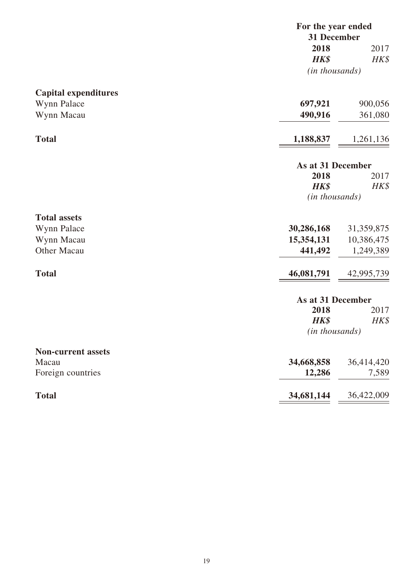|                             | For the year ended      |             |  |
|-----------------------------|-------------------------|-------------|--|
|                             |                         | 31 December |  |
|                             | 2018                    | 2017        |  |
|                             | <b>HK\$</b>             | HK\$        |  |
|                             | ( <i>in thousands</i> ) |             |  |
| <b>Capital expenditures</b> |                         |             |  |
| Wynn Palace                 | 697,921                 | 900,056     |  |
| Wynn Macau                  | 490,916                 | 361,080     |  |
|                             |                         |             |  |
| <b>Total</b>                | 1,188,837               | 1,261,136   |  |
|                             | As at 31 December       |             |  |
|                             | 2018                    | 2017        |  |
|                             | <b>HK\$</b>             | HK\$        |  |
|                             | ( <i>in thousands</i> ) |             |  |
| <b>Total assets</b>         |                         |             |  |
| Wynn Palace                 | 30,286,168              | 31,359,875  |  |
| Wynn Macau                  | 15,354,131              | 10,386,475  |  |
| <b>Other Macau</b>          | 441,492                 | 1,249,389   |  |
| <b>Total</b>                | 46,081,791              | 42,995,739  |  |
|                             | As at 31 December       |             |  |
|                             | 2018                    | 2017        |  |
|                             | <b>HK\$</b>             | HK\$        |  |
|                             | ( <i>in thousands</i> ) |             |  |
| <b>Non-current assets</b>   |                         |             |  |
| Macau                       | 34,668,858              | 36,414,420  |  |
| Foreign countries           | 12,286                  | 7,589       |  |
| <b>Total</b>                | 34,681,144              | 36,422,009  |  |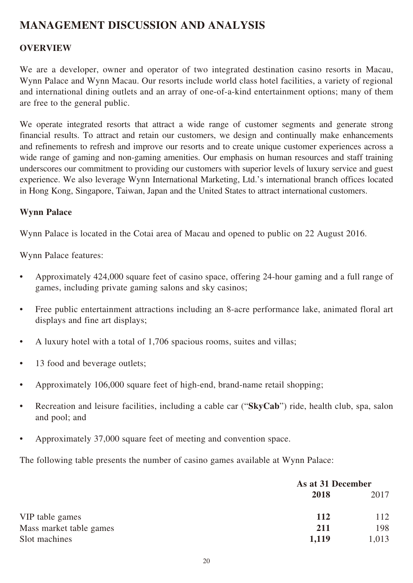## **MANAGEMENT DISCUSSION AND ANALYSIS**

## **OVERVIEW**

We are a developer, owner and operator of two integrated destination casino resorts in Macau, Wynn Palace and Wynn Macau. Our resorts include world class hotel facilities, a variety of regional and international dining outlets and an array of one-of-a-kind entertainment options; many of them are free to the general public.

We operate integrated resorts that attract a wide range of customer segments and generate strong financial results. To attract and retain our customers, we design and continually make enhancements and refinements to refresh and improve our resorts and to create unique customer experiences across a wide range of gaming and non-gaming amenities. Our emphasis on human resources and staff training underscores our commitment to providing our customers with superior levels of luxury service and guest experience. We also leverage Wynn International Marketing, Ltd.'s international branch offices located in Hong Kong, Singapore, Taiwan, Japan and the United States to attract international customers.

#### **Wynn Palace**

Wynn Palace is located in the Cotai area of Macau and opened to public on 22 August 2016.

Wynn Palace features:

- Approximately 424,000 square feet of casino space, offering 24-hour gaming and a full range of games, including private gaming salons and sky casinos;
- Free public entertainment attractions including an 8-acre performance lake, animated floral art displays and fine art displays;
- A luxury hotel with a total of 1,706 spacious rooms, suites and villas;
- 13 food and beverage outlets:
- Approximately 106,000 square feet of high-end, brand-name retail shopping;
- Recreation and leisure facilities, including a cable car ("**SkyCab**") ride, health club, spa, salon and pool; and
- Approximately 37,000 square feet of meeting and convention space.

The following table presents the number of casino games available at Wynn Palace:

|                         | As at 31 December |       |
|-------------------------|-------------------|-------|
|                         | 2018              | 2017  |
| VIP table games         | 112               | 112   |
| Mass market table games | 211               | 198   |
| Slot machines           | 1.119             | 1,013 |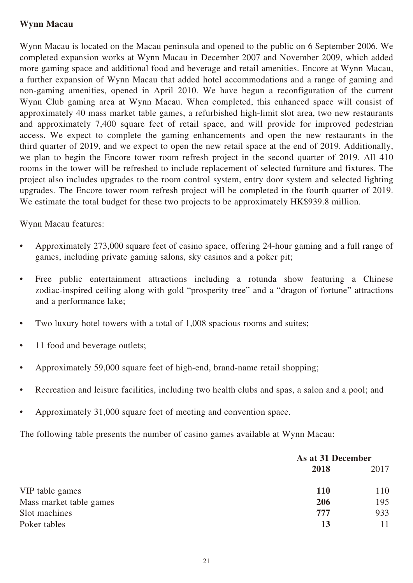## **Wynn Macau**

Wynn Macau is located on the Macau peninsula and opened to the public on 6 September 2006. We completed expansion works at Wynn Macau in December 2007 and November 2009, which added more gaming space and additional food and beverage and retail amenities. Encore at Wynn Macau, a further expansion of Wynn Macau that added hotel accommodations and a range of gaming and non-gaming amenities, opened in April 2010. We have begun a reconfiguration of the current Wynn Club gaming area at Wynn Macau. When completed, this enhanced space will consist of approximately 40 mass market table games, a refurbished high-limit slot area, two new restaurants and approximately 7,400 square feet of retail space, and will provide for improved pedestrian access. We expect to complete the gaming enhancements and open the new restaurants in the third quarter of 2019, and we expect to open the new retail space at the end of 2019. Additionally, we plan to begin the Encore tower room refresh project in the second quarter of 2019. All 410 rooms in the tower will be refreshed to include replacement of selected furniture and fixtures. The project also includes upgrades to the room control system, entry door system and selected lighting upgrades. The Encore tower room refresh project will be completed in the fourth quarter of 2019. We estimate the total budget for these two projects to be approximately HK\$939.8 million.

### Wynn Macau features:

- Approximately 273,000 square feet of casino space, offering 24-hour gaming and a full range of games, including private gaming salons, sky casinos and a poker pit;
- Free public entertainment attractions including a rotunda show featuring a Chinese zodiac-inspired ceiling along with gold "prosperity tree" and a "dragon of fortune" attractions and a performance lake;
- Two luxury hotel towers with a total of 1,008 spacious rooms and suites;
- 11 food and beverage outlets;
- Approximately 59,000 square feet of high-end, brand-name retail shopping;
- Recreation and leisure facilities, including two health clubs and spas, a salon and a pool; and
- Approximately 31,000 square feet of meeting and convention space.

The following table presents the number of casino games available at Wynn Macau:

|                         |            | As at 31 December |  |
|-------------------------|------------|-------------------|--|
|                         | 2018       | 2017              |  |
| VIP table games         | <b>110</b> | 110               |  |
| Mass market table games | 206        | 195               |  |
| Slot machines           | 777        | 933               |  |
| Poker tables            | 13         |                   |  |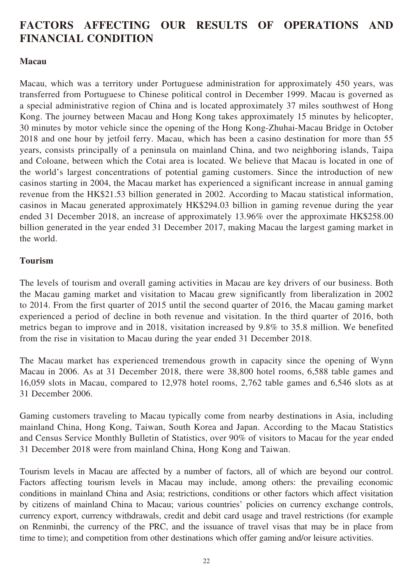## **FACTORS AFFECTING OUR RESULTS OF OPERATIONS AND FINANCIAL CONDITION**

### **Macau**

Macau, which was a territory under Portuguese administration for approximately 450 years, was transferred from Portuguese to Chinese political control in December 1999. Macau is governed as a special administrative region of China and is located approximately 37 miles southwest of Hong Kong. The journey between Macau and Hong Kong takes approximately 15 minutes by helicopter, 30 minutes by motor vehicle since the opening of the Hong Kong-Zhuhai-Macau Bridge in October 2018 and one hour by jetfoil ferry. Macau, which has been a casino destination for more than 55 years, consists principally of a peninsula on mainland China, and two neighboring islands, Taipa and Coloane, between which the Cotai area is located. We believe that Macau is located in one of the world's largest concentrations of potential gaming customers. Since the introduction of new casinos starting in 2004, the Macau market has experienced a significant increase in annual gaming revenue from the HK\$21.53 billion generated in 2002. According to Macau statistical information, casinos in Macau generated approximately HK\$294.03 billion in gaming revenue during the year ended 31 December 2018, an increase of approximately 13.96% over the approximate HK\$258.00 billion generated in the year ended 31 December 2017, making Macau the largest gaming market in the world.

## **Tourism**

The levels of tourism and overall gaming activities in Macau are key drivers of our business. Both the Macau gaming market and visitation to Macau grew significantly from liberalization in 2002 to 2014. From the first quarter of 2015 until the second quarter of 2016, the Macau gaming market experienced a period of decline in both revenue and visitation. In the third quarter of 2016, both metrics began to improve and in 2018, visitation increased by 9.8% to 35.8 million. We benefited from the rise in visitation to Macau during the year ended 31 December 2018.

The Macau market has experienced tremendous growth in capacity since the opening of Wynn Macau in 2006. As at 31 December 2018, there were 38,800 hotel rooms, 6,588 table games and 16,059 slots in Macau, compared to 12,978 hotel rooms, 2,762 table games and 6,546 slots as at 31 December 2006.

Gaming customers traveling to Macau typically come from nearby destinations in Asia, including mainland China, Hong Kong, Taiwan, South Korea and Japan. According to the Macau Statistics and Census Service Monthly Bulletin of Statistics, over 90% of visitors to Macau for the year ended 31 December 2018 were from mainland China, Hong Kong and Taiwan.

Tourism levels in Macau are affected by a number of factors, all of which are beyond our control. Factors affecting tourism levels in Macau may include, among others: the prevailing economic conditions in mainland China and Asia; restrictions, conditions or other factors which affect visitation by citizens of mainland China to Macau; various countries' policies on currency exchange controls, currency export, currency withdrawals, credit and debit card usage and travel restrictions (for example on Renminbi, the currency of the PRC, and the issuance of travel visas that may be in place from time to time); and competition from other destinations which offer gaming and/or leisure activities.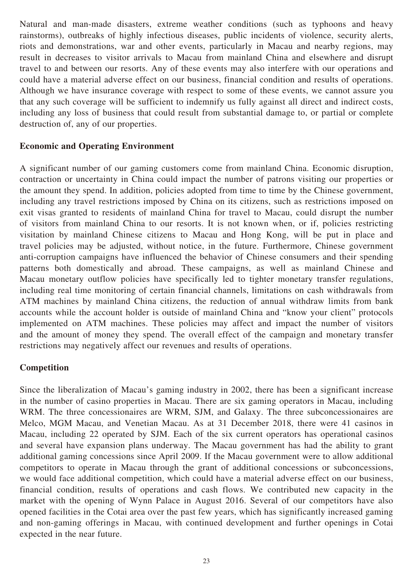Natural and man-made disasters, extreme weather conditions (such as typhoons and heavy rainstorms), outbreaks of highly infectious diseases, public incidents of violence, security alerts, riots and demonstrations, war and other events, particularly in Macau and nearby regions, may result in decreases to visitor arrivals to Macau from mainland China and elsewhere and disrupt travel to and between our resorts. Any of these events may also interfere with our operations and could have a material adverse effect on our business, financial condition and results of operations. Although we have insurance coverage with respect to some of these events, we cannot assure you that any such coverage will be sufficient to indemnify us fully against all direct and indirect costs, including any loss of business that could result from substantial damage to, or partial or complete destruction of, any of our properties.

#### **Economic and Operating Environment**

A significant number of our gaming customers come from mainland China. Economic disruption, contraction or uncertainty in China could impact the number of patrons visiting our properties or the amount they spend. In addition, policies adopted from time to time by the Chinese government, including any travel restrictions imposed by China on its citizens, such as restrictions imposed on exit visas granted to residents of mainland China for travel to Macau, could disrupt the number of visitors from mainland China to our resorts. It is not known when, or if, policies restricting visitation by mainland Chinese citizens to Macau and Hong Kong, will be put in place and travel policies may be adjusted, without notice, in the future. Furthermore, Chinese government anti-corruption campaigns have influenced the behavior of Chinese consumers and their spending patterns both domestically and abroad. These campaigns, as well as mainland Chinese and Macau monetary outflow policies have specifically led to tighter monetary transfer regulations, including real time monitoring of certain financial channels, limitations on cash withdrawals from ATM machines by mainland China citizens, the reduction of annual withdraw limits from bank accounts while the account holder is outside of mainland China and "know your client" protocols implemented on ATM machines. These policies may affect and impact the number of visitors and the amount of money they spend. The overall effect of the campaign and monetary transfer restrictions may negatively affect our revenues and results of operations.

#### **Competition**

Since the liberalization of Macau's gaming industry in 2002, there has been a significant increase in the number of casino properties in Macau. There are six gaming operators in Macau, including WRM. The three concessionaires are WRM, SJM, and Galaxy. The three subconcessionaires are Melco, MGM Macau, and Venetian Macau. As at 31 December 2018, there were 41 casinos in Macau, including 22 operated by SJM. Each of the six current operators has operational casinos and several have expansion plans underway. The Macau government has had the ability to grant additional gaming concessions since April 2009. If the Macau government were to allow additional competitors to operate in Macau through the grant of additional concessions or subconcessions, we would face additional competition, which could have a material adverse effect on our business, financial condition, results of operations and cash flows. We contributed new capacity in the market with the opening of Wynn Palace in August 2016. Several of our competitors have also opened facilities in the Cotai area over the past few years, which has significantly increased gaming and non-gaming offerings in Macau, with continued development and further openings in Cotai expected in the near future.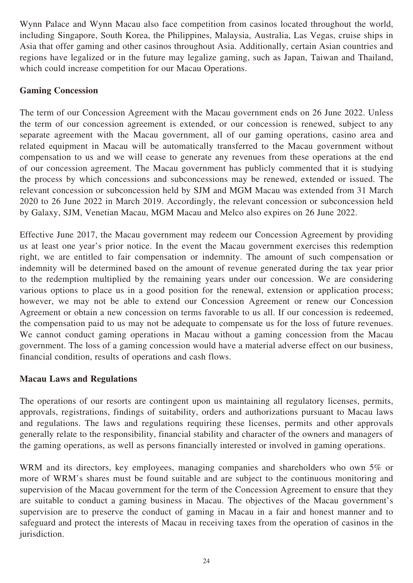Wynn Palace and Wynn Macau also face competition from casinos located throughout the world, including Singapore, South Korea, the Philippines, Malaysia, Australia, Las Vegas, cruise ships in Asia that offer gaming and other casinos throughout Asia. Additionally, certain Asian countries and regions have legalized or in the future may legalize gaming, such as Japan, Taiwan and Thailand, which could increase competition for our Macau Operations.

## **Gaming Concession**

The term of our Concession Agreement with the Macau government ends on 26 June 2022. Unless the term of our concession agreement is extended, or our concession is renewed, subject to any separate agreement with the Macau government, all of our gaming operations, casino area and related equipment in Macau will be automatically transferred to the Macau government without compensation to us and we will cease to generate any revenues from these operations at the end of our concession agreement. The Macau government has publicly commented that it is studying the process by which concessions and subconcessions may be renewed, extended or issued. The relevant concession or subconcession held by SJM and MGM Macau was extended from 31 March 2020 to 26 June 2022 in March 2019. Accordingly, the relevant concession or subconcession held by Galaxy, SJM, Venetian Macau, MGM Macau and Melco also expires on 26 June 2022.

Effective June 2017, the Macau government may redeem our Concession Agreement by providing us at least one year's prior notice. In the event the Macau government exercises this redemption right, we are entitled to fair compensation or indemnity. The amount of such compensation or indemnity will be determined based on the amount of revenue generated during the tax year prior to the redemption multiplied by the remaining years under our concession. We are considering various options to place us in a good position for the renewal, extension or application process; however, we may not be able to extend our Concession Agreement or renew our Concession Agreement or obtain a new concession on terms favorable to us all. If our concession is redeemed, the compensation paid to us may not be adequate to compensate us for the loss of future revenues. We cannot conduct gaming operations in Macau without a gaming concession from the Macau government. The loss of a gaming concession would have a material adverse effect on our business, financial condition, results of operations and cash flows.

### **Macau Laws and Regulations**

The operations of our resorts are contingent upon us maintaining all regulatory licenses, permits, approvals, registrations, findings of suitability, orders and authorizations pursuant to Macau laws and regulations. The laws and regulations requiring these licenses, permits and other approvals generally relate to the responsibility, financial stability and character of the owners and managers of the gaming operations, as well as persons financially interested or involved in gaming operations.

WRM and its directors, key employees, managing companies and shareholders who own 5% or more of WRM's shares must be found suitable and are subject to the continuous monitoring and supervision of the Macau government for the term of the Concession Agreement to ensure that they are suitable to conduct a gaming business in Macau. The objectives of the Macau government's supervision are to preserve the conduct of gaming in Macau in a fair and honest manner and to safeguard and protect the interests of Macau in receiving taxes from the operation of casinos in the jurisdiction.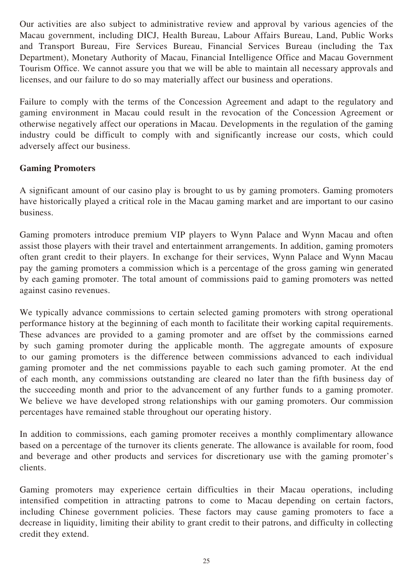Our activities are also subject to administrative review and approval by various agencies of the Macau government, including DICJ, Health Bureau, Labour Affairs Bureau, Land, Public Works and Transport Bureau, Fire Services Bureau, Financial Services Bureau (including the Tax Department), Monetary Authority of Macau, Financial Intelligence Office and Macau Government Tourism Office. We cannot assure you that we will be able to maintain all necessary approvals and licenses, and our failure to do so may materially affect our business and operations.

Failure to comply with the terms of the Concession Agreement and adapt to the regulatory and gaming environment in Macau could result in the revocation of the Concession Agreement or otherwise negatively affect our operations in Macau. Developments in the regulation of the gaming industry could be difficult to comply with and significantly increase our costs, which could adversely affect our business.

## **Gaming Promoters**

A significant amount of our casino play is brought to us by gaming promoters. Gaming promoters have historically played a critical role in the Macau gaming market and are important to our casino business.

Gaming promoters introduce premium VIP players to Wynn Palace and Wynn Macau and often assist those players with their travel and entertainment arrangements. In addition, gaming promoters often grant credit to their players. In exchange for their services, Wynn Palace and Wynn Macau pay the gaming promoters a commission which is a percentage of the gross gaming win generated by each gaming promoter. The total amount of commissions paid to gaming promoters was netted against casino revenues.

We typically advance commissions to certain selected gaming promoters with strong operational performance history at the beginning of each month to facilitate their working capital requirements. These advances are provided to a gaming promoter and are offset by the commissions earned by such gaming promoter during the applicable month. The aggregate amounts of exposure to our gaming promoters is the difference between commissions advanced to each individual gaming promoter and the net commissions payable to each such gaming promoter. At the end of each month, any commissions outstanding are cleared no later than the fifth business day of the succeeding month and prior to the advancement of any further funds to a gaming promoter. We believe we have developed strong relationships with our gaming promoters. Our commission percentages have remained stable throughout our operating history.

In addition to commissions, each gaming promoter receives a monthly complimentary allowance based on a percentage of the turnover its clients generate. The allowance is available for room, food and beverage and other products and services for discretionary use with the gaming promoter's clients.

Gaming promoters may experience certain difficulties in their Macau operations, including intensified competition in attracting patrons to come to Macau depending on certain factors, including Chinese government policies. These factors may cause gaming promoters to face a decrease in liquidity, limiting their ability to grant credit to their patrons, and difficulty in collecting credit they extend.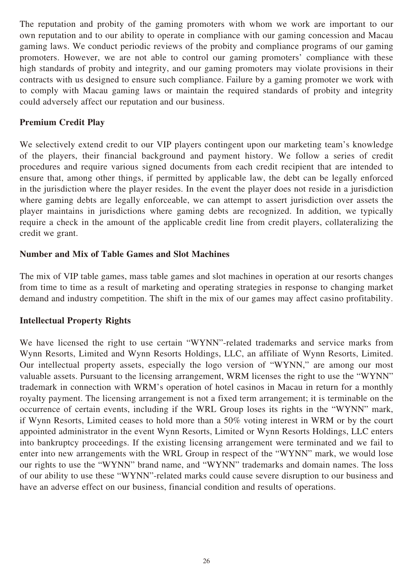The reputation and probity of the gaming promoters with whom we work are important to our own reputation and to our ability to operate in compliance with our gaming concession and Macau gaming laws. We conduct periodic reviews of the probity and compliance programs of our gaming promoters. However, we are not able to control our gaming promoters' compliance with these high standards of probity and integrity, and our gaming promoters may violate provisions in their contracts with us designed to ensure such compliance. Failure by a gaming promoter we work with to comply with Macau gaming laws or maintain the required standards of probity and integrity could adversely affect our reputation and our business.

## **Premium Credit Play**

We selectively extend credit to our VIP players contingent upon our marketing team's knowledge of the players, their financial background and payment history. We follow a series of credit procedures and require various signed documents from each credit recipient that are intended to ensure that, among other things, if permitted by applicable law, the debt can be legally enforced in the jurisdiction where the player resides. In the event the player does not reside in a jurisdiction where gaming debts are legally enforceable, we can attempt to assert jurisdiction over assets the player maintains in jurisdictions where gaming debts are recognized. In addition, we typically require a check in the amount of the applicable credit line from credit players, collateralizing the credit we grant.

## **Number and Mix of Table Games and Slot Machines**

The mix of VIP table games, mass table games and slot machines in operation at our resorts changes from time to time as a result of marketing and operating strategies in response to changing market demand and industry competition. The shift in the mix of our games may affect casino profitability.

### **Intellectual Property Rights**

We have licensed the right to use certain "WYNN"-related trademarks and service marks from Wynn Resorts, Limited and Wynn Resorts Holdings, LLC, an affiliate of Wynn Resorts, Limited. Our intellectual property assets, especially the logo version of "WYNN," are among our most valuable assets. Pursuant to the licensing arrangement, WRM licenses the right to use the "WYNN" trademark in connection with WRM's operation of hotel casinos in Macau in return for a monthly royalty payment. The licensing arrangement is not a fixed term arrangement; it is terminable on the occurrence of certain events, including if the WRL Group loses its rights in the "WYNN" mark, if Wynn Resorts, Limited ceases to hold more than a 50% voting interest in WRM or by the court appointed administrator in the event Wynn Resorts, Limited or Wynn Resorts Holdings, LLC enters into bankruptcy proceedings. If the existing licensing arrangement were terminated and we fail to enter into new arrangements with the WRL Group in respect of the "WYNN" mark, we would lose our rights to use the "WYNN" brand name, and "WYNN" trademarks and domain names. The loss of our ability to use these "WYNN"-related marks could cause severe disruption to our business and have an adverse effect on our business, financial condition and results of operations.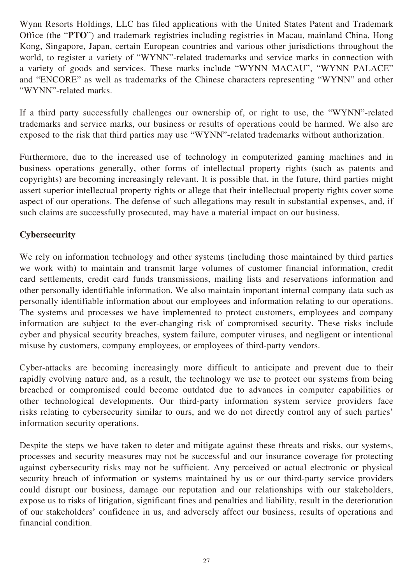Wynn Resorts Holdings, LLC has filed applications with the United States Patent and Trademark Office (the "**PTO**") and trademark registries including registries in Macau, mainland China, Hong Kong, Singapore, Japan, certain European countries and various other jurisdictions throughout the world, to register a variety of "WYNN"-related trademarks and service marks in connection with a variety of goods and services. These marks include "WYNN MACAU", "WYNN PALACE" and "ENCORE" as well as trademarks of the Chinese characters representing "WYNN" and other "WYNN"-related marks.

If a third party successfully challenges our ownership of, or right to use, the "WYNN"-related trademarks and service marks, our business or results of operations could be harmed. We also are exposed to the risk that third parties may use "WYNN"-related trademarks without authorization.

Furthermore, due to the increased use of technology in computerized gaming machines and in business operations generally, other forms of intellectual property rights (such as patents and copyrights) are becoming increasingly relevant. It is possible that, in the future, third parties might assert superior intellectual property rights or allege that their intellectual property rights cover some aspect of our operations. The defense of such allegations may result in substantial expenses, and, if such claims are successfully prosecuted, may have a material impact on our business.

## **Cybersecurity**

We rely on information technology and other systems (including those maintained by third parties we work with) to maintain and transmit large volumes of customer financial information, credit card settlements, credit card funds transmissions, mailing lists and reservations information and other personally identifiable information. We also maintain important internal company data such as personally identifiable information about our employees and information relating to our operations. The systems and processes we have implemented to protect customers, employees and company information are subject to the ever-changing risk of compromised security. These risks include cyber and physical security breaches, system failure, computer viruses, and negligent or intentional misuse by customers, company employees, or employees of third-party vendors.

Cyber-attacks are becoming increasingly more difficult to anticipate and prevent due to their rapidly evolving nature and, as a result, the technology we use to protect our systems from being breached or compromised could become outdated due to advances in computer capabilities or other technological developments. Our third-party information system service providers face risks relating to cybersecurity similar to ours, and we do not directly control any of such parties' information security operations.

Despite the steps we have taken to deter and mitigate against these threats and risks, our systems, processes and security measures may not be successful and our insurance coverage for protecting against cybersecurity risks may not be sufficient. Any perceived or actual electronic or physical security breach of information or systems maintained by us or our third-party service providers could disrupt our business, damage our reputation and our relationships with our stakeholders, expose us to risks of litigation, significant fines and penalties and liability, result in the deterioration of our stakeholders' confidence in us, and adversely affect our business, results of operations and financial condition.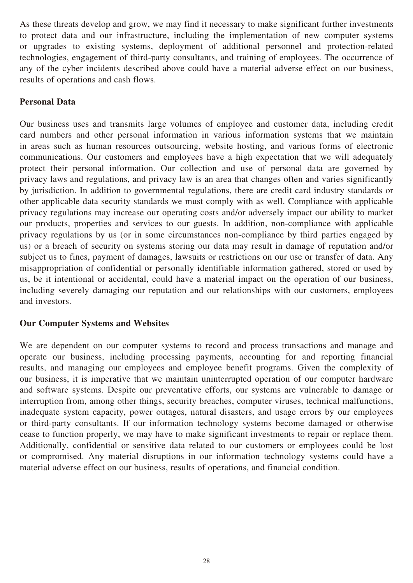As these threats develop and grow, we may find it necessary to make significant further investments to protect data and our infrastructure, including the implementation of new computer systems or upgrades to existing systems, deployment of additional personnel and protection-related technologies, engagement of third-party consultants, and training of employees. The occurrence of any of the cyber incidents described above could have a material adverse effect on our business, results of operations and cash flows.

## **Personal Data**

Our business uses and transmits large volumes of employee and customer data, including credit card numbers and other personal information in various information systems that we maintain in areas such as human resources outsourcing, website hosting, and various forms of electronic communications. Our customers and employees have a high expectation that we will adequately protect their personal information. Our collection and use of personal data are governed by privacy laws and regulations, and privacy law is an area that changes often and varies significantly by jurisdiction. In addition to governmental regulations, there are credit card industry standards or other applicable data security standards we must comply with as well. Compliance with applicable privacy regulations may increase our operating costs and/or adversely impact our ability to market our products, properties and services to our guests. In addition, non-compliance with applicable privacy regulations by us (or in some circumstances non-compliance by third parties engaged by us) or a breach of security on systems storing our data may result in damage of reputation and/or subject us to fines, payment of damages, lawsuits or restrictions on our use or transfer of data. Any misappropriation of confidential or personally identifiable information gathered, stored or used by us, be it intentional or accidental, could have a material impact on the operation of our business, including severely damaging our reputation and our relationships with our customers, employees and investors.

### **Our Computer Systems and Websites**

We are dependent on our computer systems to record and process transactions and manage and operate our business, including processing payments, accounting for and reporting financial results, and managing our employees and employee benefit programs. Given the complexity of our business, it is imperative that we maintain uninterrupted operation of our computer hardware and software systems. Despite our preventative efforts, our systems are vulnerable to damage or interruption from, among other things, security breaches, computer viruses, technical malfunctions, inadequate system capacity, power outages, natural disasters, and usage errors by our employees or third-party consultants. If our information technology systems become damaged or otherwise cease to function properly, we may have to make significant investments to repair or replace them. Additionally, confidential or sensitive data related to our customers or employees could be lost or compromised. Any material disruptions in our information technology systems could have a material adverse effect on our business, results of operations, and financial condition.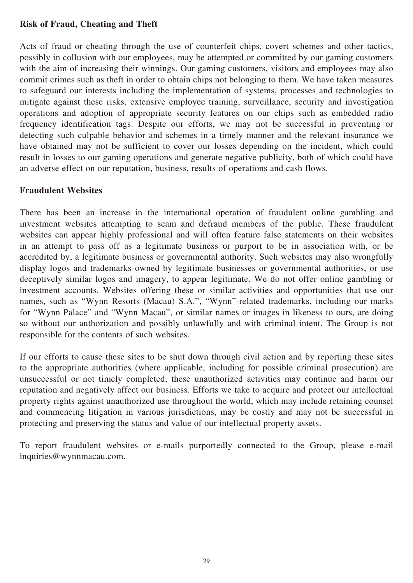## **Risk of Fraud, Cheating and Theft**

Acts of fraud or cheating through the use of counterfeit chips, covert schemes and other tactics, possibly in collusion with our employees, may be attempted or committed by our gaming customers with the aim of increasing their winnings. Our gaming customers, visitors and employees may also commit crimes such as theft in order to obtain chips not belonging to them. We have taken measures to safeguard our interests including the implementation of systems, processes and technologies to mitigate against these risks, extensive employee training, surveillance, security and investigation operations and adoption of appropriate security features on our chips such as embedded radio frequency identification tags. Despite our efforts, we may not be successful in preventing or detecting such culpable behavior and schemes in a timely manner and the relevant insurance we have obtained may not be sufficient to cover our losses depending on the incident, which could result in losses to our gaming operations and generate negative publicity, both of which could have an adverse effect on our reputation, business, results of operations and cash flows.

## **Fraudulent Websites**

There has been an increase in the international operation of fraudulent online gambling and investment websites attempting to scam and defraud members of the public. These fraudulent websites can appear highly professional and will often feature false statements on their websites in an attempt to pass off as a legitimate business or purport to be in association with, or be accredited by, a legitimate business or governmental authority. Such websites may also wrongfully display logos and trademarks owned by legitimate businesses or governmental authorities, or use deceptively similar logos and imagery, to appear legitimate. We do not offer online gambling or investment accounts. Websites offering these or similar activities and opportunities that use our names, such as "Wynn Resorts (Macau) S.A.", "Wynn"-related trademarks, including our marks for "Wynn Palace" and "Wynn Macau", or similar names or images in likeness to ours, are doing so without our authorization and possibly unlawfully and with criminal intent. The Group is not responsible for the contents of such websites.

If our efforts to cause these sites to be shut down through civil action and by reporting these sites to the appropriate authorities (where applicable, including for possible criminal prosecution) are unsuccessful or not timely completed, these unauthorized activities may continue and harm our reputation and negatively affect our business. Efforts we take to acquire and protect our intellectual property rights against unauthorized use throughout the world, which may include retaining counsel and commencing litigation in various jurisdictions, may be costly and may not be successful in protecting and preserving the status and value of our intellectual property assets.

To report fraudulent websites or e-mails purportedly connected to the Group, please e-mail inquiries@wynnmacau.com.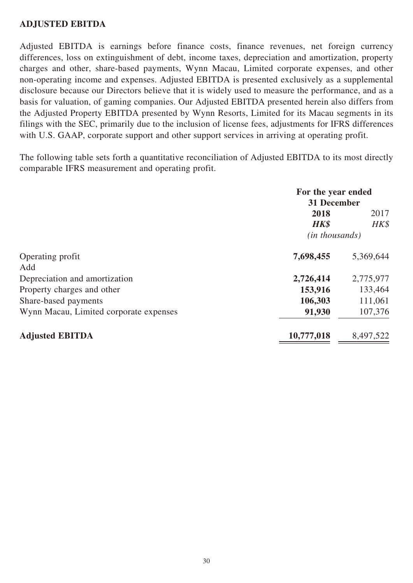## **ADJUSTED EBITDA**

Adjusted EBITDA is earnings before finance costs, finance revenues, net foreign currency differences, loss on extinguishment of debt, income taxes, depreciation and amortization, property charges and other, share-based payments, Wynn Macau, Limited corporate expenses, and other non-operating income and expenses. Adjusted EBITDA is presented exclusively as a supplemental disclosure because our Directors believe that it is widely used to measure the performance, and as a basis for valuation, of gaming companies. Our Adjusted EBITDA presented herein also differs from the Adjusted Property EBITDA presented by Wynn Resorts, Limited for its Macau segments in its filings with the SEC, primarily due to the inclusion of license fees, adjustments for IFRS differences with U.S. GAAP, corporate support and other support services in arriving at operating profit.

The following table sets forth a quantitative reconciliation of Adjusted EBITDA to its most directly comparable IFRS measurement and operating profit.

|                                        | For the year ended<br>31 December |           |
|----------------------------------------|-----------------------------------|-----------|
|                                        | 2018<br>2017                      |           |
|                                        | <b>HK\$</b>                       | HK\$      |
|                                        | ( <i>in thousands</i> )           |           |
| Operating profit                       | 7,698,455                         | 5,369,644 |
| Add                                    |                                   |           |
| Depreciation and amortization          | 2,726,414                         | 2,775,977 |
| Property charges and other             | 153,916                           | 133,464   |
| Share-based payments                   | 106,303                           | 111,061   |
| Wynn Macau, Limited corporate expenses | 91,930                            | 107,376   |
| <b>Adjusted EBITDA</b>                 | 10,777,018                        | 8,497,522 |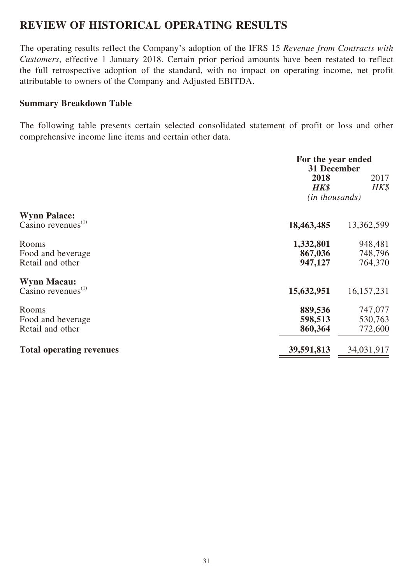## **REVIEW OF HISTORICAL OPERATING RESULTS**

The operating results reflect the Company's adoption of the IFRS 15 *Revenue from Contracts with Customers*, effective 1 January 2018. Certain prior period amounts have been restated to reflect the full retrospective adoption of the standard, with no impact on operating income, net profit attributable to owners of the Company and Adjusted EBITDA.

#### **Summary Breakdown Table**

The following table presents certain selected consolidated statement of profit or loss and other comprehensive income line items and certain other data.

|                                                 | For the year ended<br>31 December     |                               |
|-------------------------------------------------|---------------------------------------|-------------------------------|
|                                                 | 2018<br><b>HK\$</b><br>(in thousands) | 2017<br>HK\$                  |
| <b>Wynn Palace:</b><br>Casino revenues $^{(1)}$ | 18,463,485                            | 13,362,599                    |
| Rooms<br>Food and beverage<br>Retail and other  | 1,332,801<br>867,036<br>947,127       | 948,481<br>748,796<br>764,370 |
| <b>Wynn Macau:</b><br>Casino revenues $^{(1)}$  | 15,632,951                            | 16, 157, 231                  |
| Rooms<br>Food and beverage<br>Retail and other  | 889,536<br>598,513<br>860,364         | 747,077<br>530,763<br>772,600 |
| <b>Total operating revenues</b>                 | 39,591,813                            | 34,031,917                    |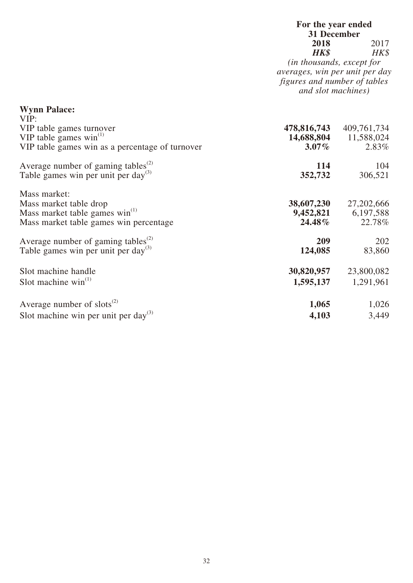## **For the year ended 31 December 2018** 2017<br>**HK\$** HK\$ *HK\$ HK\$ (in thousands, except for*

*averages, win per unit per day figures and number of tables and slot machines)*

| <b>Wynn Palace:</b>                                         |             |              |
|-------------------------------------------------------------|-------------|--------------|
| VIP:                                                        |             |              |
| VIP table games turnover                                    | 478,816,743 | 409,761,734  |
| VIP table games $win^{(1)}$                                 | 14,688,804  | 11,588,024   |
| VIP table games win as a percentage of turnover             | $3.07\%$    | 2.83%        |
| Average number of gaming tables <sup><math>(2)</math></sup> | 114         | 104          |
| Table games win per unit per day <sup>(3)</sup>             | 352,732     | 306,521      |
| Mass market:                                                |             |              |
| Mass market table drop                                      | 38,607,230  | 27, 202, 666 |
| Mass market table games win <sup>(1)</sup>                  | 9,452,821   | 6,197,588    |
| Mass market table games win percentage                      | 24.48%      | 22.78%       |
| Average number of gaming tables <sup>(2)</sup>              | 209         | 202          |
| Table games win per unit per day <sup>(3)</sup>             | 124,085     | 83,860       |
| Slot machine handle                                         | 30,820,957  | 23,800,082   |
| Slot machine $win^{(1)}$                                    | 1,595,137   | 1,291,961    |
| Average number of $slots^{(2)}$                             | 1,065       | 1,026        |
| Slot machine win per unit per day. <sup>(3)</sup>           | 4,103       | 3,449        |
|                                                             |             |              |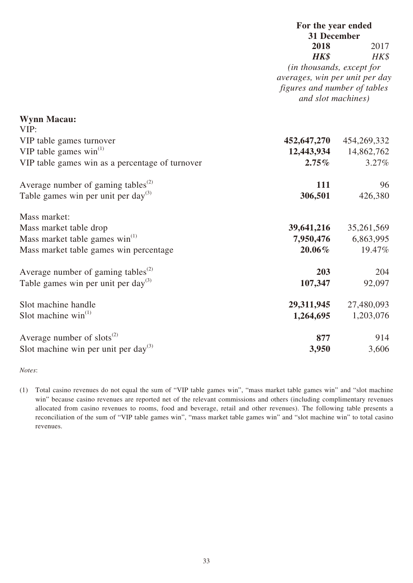## **For the year ended 31 December 2018** 2017 *HK\$ HK\$*

*(in thousands, except for averages, win per unit per day figures and number of tables and slot machines)*

| <b>Wynn Macau:</b>                                          |             |             |
|-------------------------------------------------------------|-------------|-------------|
| VIP:                                                        |             |             |
| VIP table games turnover                                    | 452,647,270 | 454,269,332 |
| VIP table games $win^{(1)}$                                 | 12,443,934  | 14,862,762  |
| VIP table games win as a percentage of turnover             | $2.75\%$    | 3.27%       |
| Average number of gaming tables <sup><math>(2)</math></sup> | 111         | 96          |
| Table games win per unit per day <sup>(3)</sup>             | 306,501     | 426,380     |
| Mass market:                                                |             |             |
| Mass market table drop                                      | 39,641,216  | 35,261,569  |
| Mass market table games $win^{(1)}$                         | 7,950,476   | 6,863,995   |
| Mass market table games win percentage                      | $20.06\%$   | 19.47%      |
| Average number of gaming tables <sup>(2)</sup>              | 203         | 204         |
| Table games win per unit per day <sup>(3)</sup>             | 107,347     | 92,097      |
| Slot machine handle                                         | 29,311,945  | 27,480,093  |
| Slot machine $win^{(1)}$                                    | 1,264,695   | 1,203,076   |
| Average number of $slots^{(2)}$                             | 877         | 914         |
| Slot machine win per unit per day <sup>(3)</sup>            | 3,950       | 3,606       |

*Notes*:

(1) Total casino revenues do not equal the sum of "VIP table games win", "mass market table games win" and "slot machine win" because casino revenues are reported net of the relevant commissions and others (including complimentary revenues allocated from casino revenues to rooms, food and beverage, retail and other revenues). The following table presents a reconciliation of the sum of "VIP table games win", "mass market table games win" and "slot machine win" to total casino revenues.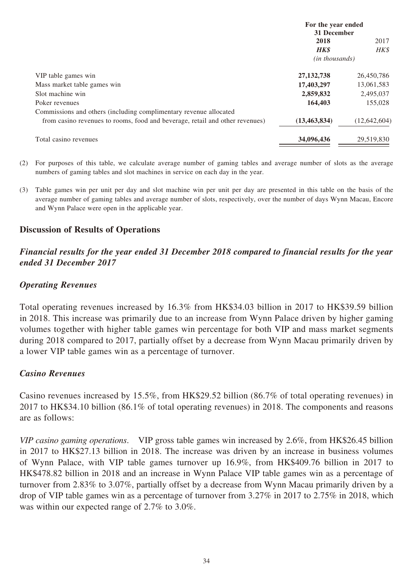|                                                                              | For the year ended      |                |
|------------------------------------------------------------------------------|-------------------------|----------------|
|                                                                              | 31 December             |                |
|                                                                              | 2018                    | 2017           |
|                                                                              | <b>HK\$</b>             | HK\$           |
|                                                                              | ( <i>in thousands</i> ) |                |
| VIP table games win                                                          | 27, 132, 738            | 26,450,786     |
| Mass market table games win                                                  | 17,403,297              | 13,061,583     |
| Slot machine win                                                             | 2,859,832               | 2,495,037      |
| Poker revenues                                                               | 164,403                 | 155,028        |
| Commissions and others (including complimentary revenue allocated            |                         |                |
| from casino revenues to rooms, food and beverage, retail and other revenues) | (13, 463, 834)          | (12, 642, 604) |
| Total casino revenues                                                        | 34,096,436              | 29,519,830     |

- (2) For purposes of this table, we calculate average number of gaming tables and average number of slots as the average numbers of gaming tables and slot machines in service on each day in the year.
- (3) Table games win per unit per day and slot machine win per unit per day are presented in this table on the basis of the average number of gaming tables and average number of slots, respectively, over the number of days Wynn Macau, Encore and Wynn Palace were open in the applicable year.

### **Discussion of Results of Operations**

### *Financial results for the year ended 31 December 2018 compared to financial results for the year ended 31 December 2017*

#### *Operating Revenues*

Total operating revenues increased by 16.3% from HK\$34.03 billion in 2017 to HK\$39.59 billion in 2018. This increase was primarily due to an increase from Wynn Palace driven by higher gaming volumes together with higher table games win percentage for both VIP and mass market segments during 2018 compared to 2017, partially offset by a decrease from Wynn Macau primarily driven by a lower VIP table games win as a percentage of turnover.

#### *Casino Revenues*

Casino revenues increased by 15.5%, from HK\$29.52 billion (86.7% of total operating revenues) in 2017 to HK\$34.10 billion (86.1% of total operating revenues) in 2018. The components and reasons are as follows:

*VIP casino gaming operations*. VIP gross table games win increased by 2.6%, from HK\$26.45 billion in 2017 to HK\$27.13 billion in 2018. The increase was driven by an increase in business volumes of Wynn Palace, with VIP table games turnover up 16.9%, from HK\$409.76 billion in 2017 to HK\$478.82 billion in 2018 and an increase in Wynn Palace VIP table games win as a percentage of turnover from 2.83% to 3.07%, partially offset by a decrease from Wynn Macau primarily driven by a drop of VIP table games win as a percentage of turnover from 3.27% in 2017 to 2.75% in 2018, which was within our expected range of 2.7% to 3.0%.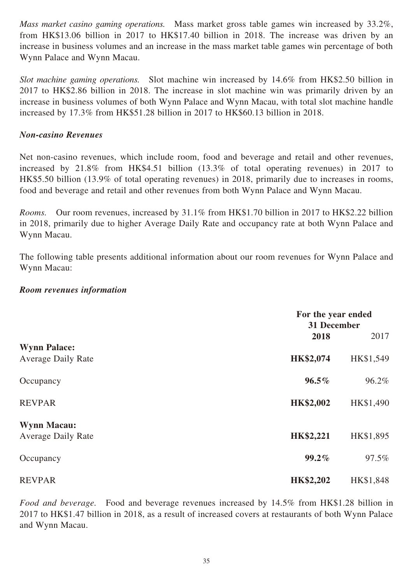*Mass market casino gaming operations.* Mass market gross table games win increased by 33.2%, from HK\$13.06 billion in 2017 to HK\$17.40 billion in 2018. The increase was driven by an increase in business volumes and an increase in the mass market table games win percentage of both Wynn Palace and Wynn Macau.

*Slot machine gaming operations.* Slot machine win increased by 14.6% from HK\$2.50 billion in 2017 to HK\$2.86 billion in 2018. The increase in slot machine win was primarily driven by an increase in business volumes of both Wynn Palace and Wynn Macau, with total slot machine handle increased by 17.3% from HK\$51.28 billion in 2017 to HK\$60.13 billion in 2018.

#### *Non-casino Revenues*

Net non-casino revenues, which include room, food and beverage and retail and other revenues, increased by 21.8% from HK\$4.51 billion (13.3% of total operating revenues) in 2017 to HK\$5.50 billion (13.9% of total operating revenues) in 2018, primarily due to increases in rooms, food and beverage and retail and other revenues from both Wynn Palace and Wynn Macau.

*Rooms.* Our room revenues, increased by 31.1% from HK\$1.70 billion in 2017 to HK\$2.22 billion in 2018, primarily due to higher Average Daily Rate and occupancy rate at both Wynn Palace and Wynn Macau.

The following table presents additional information about our room revenues for Wynn Palace and Wynn Macau:

#### *Room revenues information*

|                           | For the year ended<br>31 December |           |
|---------------------------|-----------------------------------|-----------|
|                           | 2018                              | 2017      |
| <b>Wynn Palace:</b>       |                                   |           |
| <b>Average Daily Rate</b> | HK\$2,074                         | HK\$1,549 |
| Occupancy                 | $96.5\%$                          | 96.2%     |
| <b>REVPAR</b>             | HK\$2,002                         | HK\$1,490 |
| <b>Wynn Macau:</b>        |                                   |           |
| <b>Average Daily Rate</b> | HK\$2,221                         | HK\$1,895 |
| Occupancy                 | 99.2%                             | 97.5%     |
| <b>REVPAR</b>             | HK\$2,202                         | HK\$1,848 |

*Food and beverage.* Food and beverage revenues increased by 14.5% from HK\$1.28 billion in 2017 to HK\$1.47 billion in 2018, as a result of increased covers at restaurants of both Wynn Palace and Wynn Macau.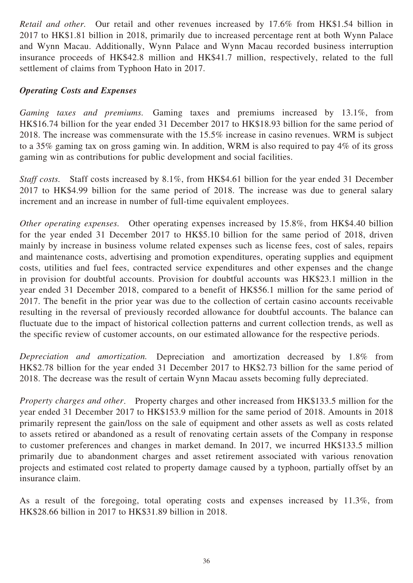*Retail and other.* Our retail and other revenues increased by 17.6% from HK\$1.54 billion in 2017 to HK\$1.81 billion in 2018, primarily due to increased percentage rent at both Wynn Palace and Wynn Macau. Additionally, Wynn Palace and Wynn Macau recorded business interruption insurance proceeds of HK\$42.8 million and HK\$41.7 million, respectively, related to the full settlement of claims from Typhoon Hato in 2017.

### *Operating Costs and Expenses*

*Gaming taxes and premiums.* Gaming taxes and premiums increased by 13.1%, from HK\$16.74 billion for the year ended 31 December 2017 to HK\$18.93 billion for the same period of 2018. The increase was commensurate with the 15.5% increase in casino revenues. WRM is subject to a 35% gaming tax on gross gaming win. In addition, WRM is also required to pay 4% of its gross gaming win as contributions for public development and social facilities.

*Staff costs.* Staff costs increased by 8.1%, from HK\$4.61 billion for the year ended 31 December 2017 to HK\$4.99 billion for the same period of 2018. The increase was due to general salary increment and an increase in number of full-time equivalent employees.

*Other operating expenses.* Other operating expenses increased by 15.8%, from HK\$4.40 billion for the year ended 31 December 2017 to HK\$5.10 billion for the same period of 2018, driven mainly by increase in business volume related expenses such as license fees, cost of sales, repairs and maintenance costs, advertising and promotion expenditures, operating supplies and equipment costs, utilities and fuel fees, contracted service expenditures and other expenses and the change in provision for doubtful accounts. Provision for doubtful accounts was HK\$23.1 million in the year ended 31 December 2018, compared to a benefit of HK\$56.1 million for the same period of 2017. The benefit in the prior year was due to the collection of certain casino accounts receivable resulting in the reversal of previously recorded allowance for doubtful accounts. The balance can fluctuate due to the impact of historical collection patterns and current collection trends, as well as the specific review of customer accounts, on our estimated allowance for the respective periods.

*Depreciation and amortization.* Depreciation and amortization decreased by 1.8% from HK\$2.78 billion for the year ended 31 December 2017 to HK\$2.73 billion for the same period of 2018. The decrease was the result of certain Wynn Macau assets becoming fully depreciated.

*Property charges and other*. Property charges and other increased from HK\$133.5 million for the year ended 31 December 2017 to HK\$153.9 million for the same period of 2018. Amounts in 2018 primarily represent the gain/loss on the sale of equipment and other assets as well as costs related to assets retired or abandoned as a result of renovating certain assets of the Company in response to customer preferences and changes in market demand. In 2017, we incurred HK\$133.5 million primarily due to abandonment charges and asset retirement associated with various renovation projects and estimated cost related to property damage caused by a typhoon, partially offset by an insurance claim.

As a result of the foregoing, total operating costs and expenses increased by 11.3%, from HK\$28.66 billion in 2017 to HK\$31.89 billion in 2018.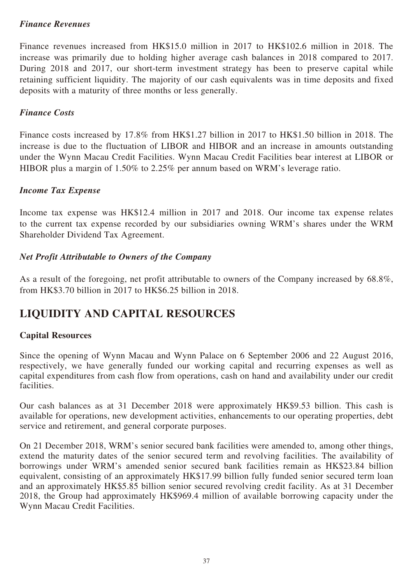## *Finance Revenues*

Finance revenues increased from HK\$15.0 million in 2017 to HK\$102.6 million in 2018. The increase was primarily due to holding higher average cash balances in 2018 compared to 2017. During 2018 and 2017, our short-term investment strategy has been to preserve capital while retaining sufficient liquidity. The majority of our cash equivalents was in time deposits and fixed deposits with a maturity of three months or less generally.

### *Finance Costs*

Finance costs increased by 17.8% from HK\$1.27 billion in 2017 to HK\$1.50 billion in 2018. The increase is due to the fluctuation of LIBOR and HIBOR and an increase in amounts outstanding under the Wynn Macau Credit Facilities. Wynn Macau Credit Facilities bear interest at LIBOR or HIBOR plus a margin of 1.50% to 2.25% per annum based on WRM's leverage ratio.

## *Income Tax Expense*

Income tax expense was HK\$12.4 million in 2017 and 2018. Our income tax expense relates to the current tax expense recorded by our subsidiaries owning WRM's shares under the WRM Shareholder Dividend Tax Agreement.

## *Net Profit Attributable to Owners of the Company*

As a result of the foregoing, net profit attributable to owners of the Company increased by 68.8%, from HK\$3.70 billion in 2017 to HK\$6.25 billion in 2018.

## **LIQUIDITY AND CAPITAL RESOURCES**

### **Capital Resources**

Since the opening of Wynn Macau and Wynn Palace on 6 September 2006 and 22 August 2016, respectively, we have generally funded our working capital and recurring expenses as well as capital expenditures from cash flow from operations, cash on hand and availability under our credit facilities.

Our cash balances as at 31 December 2018 were approximately HK\$9.53 billion. This cash is available for operations, new development activities, enhancements to our operating properties, debt service and retirement, and general corporate purposes.

On 21 December 2018, WRM's senior secured bank facilities were amended to, among other things, extend the maturity dates of the senior secured term and revolving facilities. The availability of borrowings under WRM's amended senior secured bank facilities remain as HK\$23.84 billion equivalent, consisting of an approximately HK\$17.99 billion fully funded senior secured term loan and an approximately HK\$5.85 billion senior secured revolving credit facility. As at 31 December 2018, the Group had approximately HK\$969.4 million of available borrowing capacity under the Wynn Macau Credit Facilities.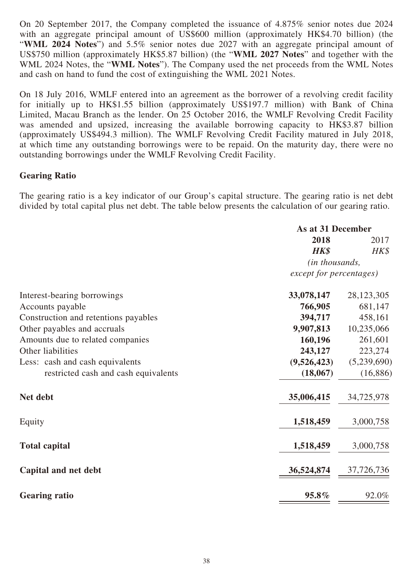On 20 September 2017, the Company completed the issuance of 4.875% senior notes due 2024 with an aggregate principal amount of US\$600 million (approximately HK\$4.70 billion) (the "**WML 2024 Notes**") and 5.5% senior notes due 2027 with an aggregate principal amount of US\$750 million (approximately HK\$5.87 billion) (the "**WML 2027 Notes**" and together with the WML 2024 Notes, the "**WML Notes**"). The Company used the net proceeds from the WML Notes and cash on hand to fund the cost of extinguishing the WML 2021 Notes.

On 18 July 2016, WMLF entered into an agreement as the borrower of a revolving credit facility for initially up to HK\$1.55 billion (approximately US\$197.7 million) with Bank of China Limited, Macau Branch as the lender. On 25 October 2016, the WMLF Revolving Credit Facility was amended and upsized, increasing the available borrowing capacity to HK\$3.87 billion (approximately US\$494.3 million). The WMLF Revolving Credit Facility matured in July 2018, at which time any outstanding borrowings were to be repaid. On the maturity day, there were no outstanding borrowings under the WMLF Revolving Credit Facility.

### **Gearing Ratio**

The gearing ratio is a key indicator of our Group's capital structure. The gearing ratio is net debt divided by total capital plus net debt. The table below presents the calculation of our gearing ratio.

|                                      | As at 31 December       |              |
|--------------------------------------|-------------------------|--------------|
|                                      | 2018                    | 2017         |
|                                      | <b>HK\$</b>             | $H K$ \$     |
|                                      | (in thousands,          |              |
|                                      | except for percentages) |              |
| Interest-bearing borrowings          | 33,078,147              | 28, 123, 305 |
| Accounts payable                     | 766,905                 | 681,147      |
| Construction and retentions payables | 394,717                 | 458,161      |
| Other payables and accruals          | 9,907,813               | 10,235,066   |
| Amounts due to related companies     | 160,196                 | 261,601      |
| Other liabilities                    | 243,127                 | 223,274      |
| Less: cash and cash equivalents      | (9,526,423)             | (5,239,690)  |
| restricted cash and cash equivalents | (18,067)                | (16, 886)    |
| Net debt                             | 35,006,415              | 34,725,978   |
| Equity                               | 1,518,459               | 3,000,758    |
| <b>Total capital</b>                 | 1,518,459               | 3,000,758    |
| Capital and net debt                 | 36,524,874              | 37,726,736   |
| <b>Gearing ratio</b>                 | 95.8%                   | 92.0%        |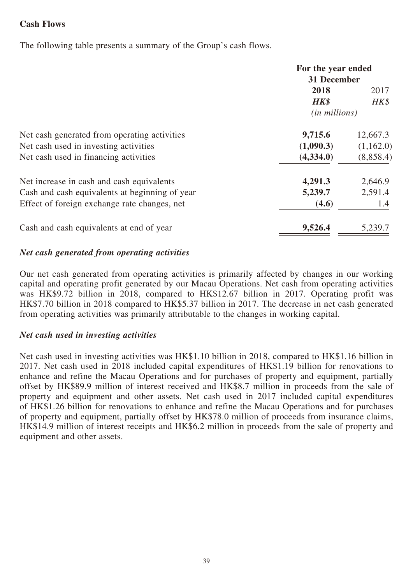## **Cash Flows**

The following table presents a summary of the Group's cash flows.

|                                                | For the year ended     |           |
|------------------------------------------------|------------------------|-----------|
|                                                | 31 December            |           |
|                                                | 2018                   | 2017      |
|                                                | HK\$                   | HK\$      |
|                                                | ( <i>in millions</i> ) |           |
| Net cash generated from operating activities   | 9,715.6                | 12,667.3  |
| Net cash used in investing activities          | (1,090.3)              | (1,162.0) |
| Net cash used in financing activities          | (4,334.0)              | (8,858.4) |
| Net increase in cash and cash equivalents      | 4,291.3                | 2,646.9   |
| Cash and cash equivalents at beginning of year | 5,239.7                | 2,591.4   |
| Effect of foreign exchange rate changes, net   | (4.6)                  | 1.4       |
| Cash and cash equivalents at end of year       | 9,526.4                | 5,239.7   |
|                                                |                        |           |

### *Net cash generated from operating activities*

Our net cash generated from operating activities is primarily affected by changes in our working capital and operating profit generated by our Macau Operations. Net cash from operating activities was HK\$9.72 billion in 2018, compared to HK\$12.67 billion in 2017. Operating profit was HK\$7.70 billion in 2018 compared to HK\$5.37 billion in 2017. The decrease in net cash generated from operating activities was primarily attributable to the changes in working capital.

### *Net cash used in investing activities*

Net cash used in investing activities was HK\$1.10 billion in 2018, compared to HK\$1.16 billion in 2017. Net cash used in 2018 included capital expenditures of HK\$1.19 billion for renovations to enhance and refine the Macau Operations and for purchases of property and equipment, partially offset by HK\$89.9 million of interest received and HK\$8.7 million in proceeds from the sale of property and equipment and other assets. Net cash used in 2017 included capital expenditures of HK\$1.26 billion for renovations to enhance and refine the Macau Operations and for purchases of property and equipment, partially offset by HK\$78.0 million of proceeds from insurance claims, HK\$14.9 million of interest receipts and HK\$6.2 million in proceeds from the sale of property and equipment and other assets.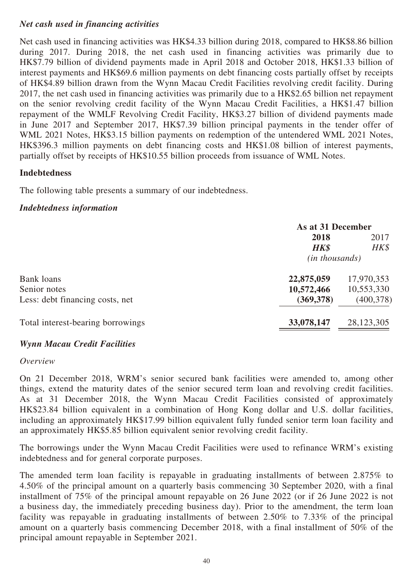## *Net cash used in financing activities*

Net cash used in financing activities was HK\$4.33 billion during 2018, compared to HK\$8.86 billion during 2017. During 2018, the net cash used in financing activities was primarily due to HK\$7.79 billion of dividend payments made in April 2018 and October 2018, HK\$1.33 billion of interest payments and HK\$69.6 million payments on debt financing costs partially offset by receipts of HK\$4.89 billion drawn from the Wynn Macau Credit Facilities revolving credit facility. During 2017, the net cash used in financing activities was primarily due to a HK\$2.65 billion net repayment on the senior revolving credit facility of the Wynn Macau Credit Facilities, a HK\$1.47 billion repayment of the WMLF Revolving Credit Facility, HK\$3.27 billion of dividend payments made in June 2017 and September 2017, HK\$7.39 billion principal payments in the tender offer of WML 2021 Notes, HK\$3.15 billion payments on redemption of the untendered WML 2021 Notes, HK\$396.3 million payments on debt financing costs and HK\$1.08 billion of interest payments, partially offset by receipts of HK\$10.55 billion proceeds from issuance of WML Notes.

#### **Indebtedness**

The following table presents a summary of our indebtedness.

#### *Indebtedness information*

|                                   | As at 31 December       |            |
|-----------------------------------|-------------------------|------------|
|                                   | 2018                    | 2017       |
|                                   | HK\$                    | HK\$       |
|                                   | ( <i>in thousands</i> ) |            |
| Bank loans                        | 22,875,059              | 17,970,353 |
| Senior notes                      | 10,572,466              | 10,553,330 |
| Less: debt financing costs, net   | (369, 378)              | (400, 378) |
| Total interest-bearing borrowings | 33,078,147              | 28,123,305 |
|                                   |                         |            |

### *Wynn Macau Credit Facilities*

#### *Overview*

On 21 December 2018, WRM's senior secured bank facilities were amended to, among other things, extend the maturity dates of the senior secured term loan and revolving credit facilities. As at 31 December 2018, the Wynn Macau Credit Facilities consisted of approximately HK\$23.84 billion equivalent in a combination of Hong Kong dollar and U.S. dollar facilities, including an approximately HK\$17.99 billion equivalent fully funded senior term loan facility and an approximately HK\$5.85 billion equivalent senior revolving credit facility.

The borrowings under the Wynn Macau Credit Facilities were used to refinance WRM's existing indebtedness and for general corporate purposes.

The amended term loan facility is repayable in graduating installments of between 2.875% to 4.50% of the principal amount on a quarterly basis commencing 30 September 2020, with a final installment of 75% of the principal amount repayable on 26 June 2022 (or if 26 June 2022 is not a business day, the immediately preceding business day). Prior to the amendment, the term loan facility was repayable in graduating installments of between 2.50% to 7.33% of the principal amount on a quarterly basis commencing December 2018, with a final installment of 50% of the principal amount repayable in September 2021.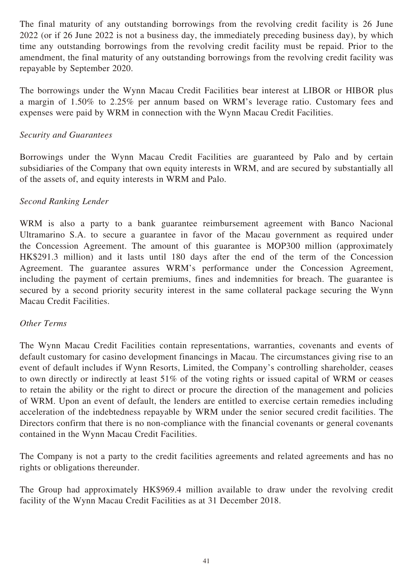The final maturity of any outstanding borrowings from the revolving credit facility is 26 June 2022 (or if 26 June 2022 is not a business day, the immediately preceding business day), by which time any outstanding borrowings from the revolving credit facility must be repaid. Prior to the amendment, the final maturity of any outstanding borrowings from the revolving credit facility was repayable by September 2020.

The borrowings under the Wynn Macau Credit Facilities bear interest at LIBOR or HIBOR plus a margin of 1.50% to 2.25% per annum based on WRM's leverage ratio. Customary fees and expenses were paid by WRM in connection with the Wynn Macau Credit Facilities.

### *Security and Guarantees*

Borrowings under the Wynn Macau Credit Facilities are guaranteed by Palo and by certain subsidiaries of the Company that own equity interests in WRM, and are secured by substantially all of the assets of, and equity interests in WRM and Palo.

## *Second Ranking Lender*

WRM is also a party to a bank guarantee reimbursement agreement with Banco Nacional Ultramarino S.A. to secure a guarantee in favor of the Macau government as required under the Concession Agreement. The amount of this guarantee is MOP300 million (approximately HK\$291.3 million) and it lasts until 180 days after the end of the term of the Concession Agreement. The guarantee assures WRM's performance under the Concession Agreement, including the payment of certain premiums, fines and indemnities for breach. The guarantee is secured by a second priority security interest in the same collateral package securing the Wynn Macau Credit Facilities.

### *Other Terms*

The Wynn Macau Credit Facilities contain representations, warranties, covenants and events of default customary for casino development financings in Macau. The circumstances giving rise to an event of default includes if Wynn Resorts, Limited, the Company's controlling shareholder, ceases to own directly or indirectly at least 51% of the voting rights or issued capital of WRM or ceases to retain the ability or the right to direct or procure the direction of the management and policies of WRM. Upon an event of default, the lenders are entitled to exercise certain remedies including acceleration of the indebtedness repayable by WRM under the senior secured credit facilities. The Directors confirm that there is no non-compliance with the financial covenants or general covenants contained in the Wynn Macau Credit Facilities.

The Company is not a party to the credit facilities agreements and related agreements and has no rights or obligations thereunder.

The Group had approximately HK\$969.4 million available to draw under the revolving credit facility of the Wynn Macau Credit Facilities as at 31 December 2018.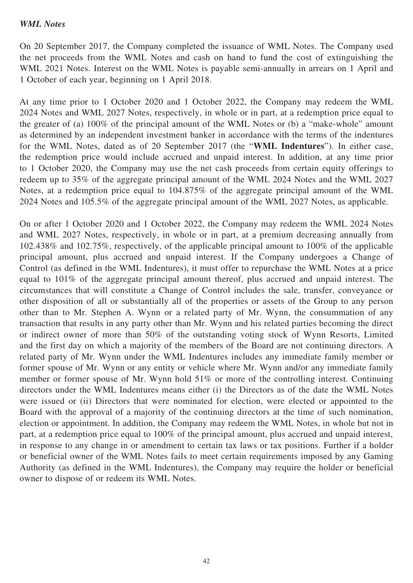#### *WML Notes*

On 20 September 2017, the Company completed the issuance of WML Notes. The Company used the net proceeds from the WML Notes and cash on hand to fund the cost of extinguishing the WML 2021 Notes. Interest on the WML Notes is payable semi-annually in arrears on 1 April and 1 October of each year, beginning on 1 April 2018.

At any time prior to 1 October 2020 and 1 October 2022, the Company may redeem the WML 2024 Notes and WML 2027 Notes, respectively, in whole or in part, at a redemption price equal to the greater of (a) 100% of the principal amount of the WML Notes or (b) a "make-whole" amount as determined by an independent investment banker in accordance with the terms of the indentures for the WML Notes, dated as of 20 September 2017 (the "**WML Indentures**"). In either case, the redemption price would include accrued and unpaid interest. In addition, at any time prior to 1 October 2020, the Company may use the net cash proceeds from certain equity offerings to redeem up to 35% of the aggregate principal amount of the WML 2024 Notes and the WML 2027 Notes, at a redemption price equal to 104.875% of the aggregate principal amount of the WML 2024 Notes and 105.5% of the aggregate principal amount of the WML 2027 Notes, as applicable.

On or after 1 October 2020 and 1 October 2022, the Company may redeem the WML 2024 Notes and WML 2027 Notes, respectively, in whole or in part, at a premium decreasing annually from 102.438% and 102.75%, respectively, of the applicable principal amount to 100% of the applicable principal amount, plus accrued and unpaid interest. If the Company undergoes a Change of Control (as defined in the WML Indentures), it must offer to repurchase the WML Notes at a price equal to 101% of the aggregate principal amount thereof, plus accrued and unpaid interest. The circumstances that will constitute a Change of Control includes the sale, transfer, conveyance or other disposition of all or substantially all of the properties or assets of the Group to any person other than to Mr. Stephen A. Wynn or a related party of Mr. Wynn, the consummation of any transaction that results in any party other than Mr. Wynn and his related parties becoming the direct or indirect owner of more than 50% of the outstanding voting stock of Wynn Resorts, Limited and the first day on which a majority of the members of the Board are not continuing directors. A related party of Mr. Wynn under the WML Indentures includes any immediate family member or former spouse of Mr. Wynn or any entity or vehicle where Mr. Wynn and/or any immediate family member or former spouse of Mr. Wynn hold 51% or more of the controlling interest. Continuing directors under the WML Indentures means either (i) the Directors as of the date the WML Notes were issued or (ii) Directors that were nominated for election, were elected or appointed to the Board with the approval of a majority of the continuing directors at the time of such nomination, election or appointment. In addition, the Company may redeem the WML Notes, in whole but not in part, at a redemption price equal to 100% of the principal amount, plus accrued and unpaid interest, in response to any change in or amendment to certain tax laws or tax positions. Further if a holder or beneficial owner of the WML Notes fails to meet certain requirements imposed by any Gaming Authority (as defined in the WML Indentures), the Company may require the holder or beneficial owner to dispose of or redeem its WML Notes.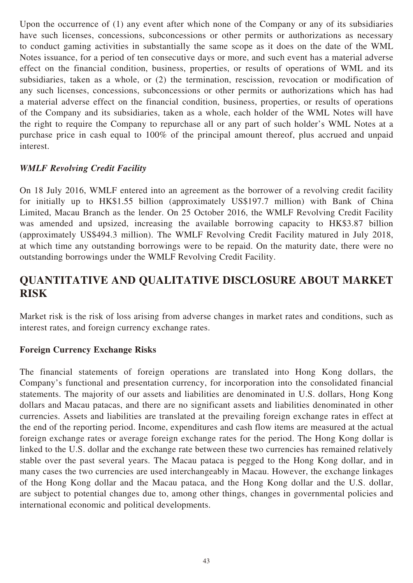Upon the occurrence of (1) any event after which none of the Company or any of its subsidiaries have such licenses, concessions, subconcessions or other permits or authorizations as necessary to conduct gaming activities in substantially the same scope as it does on the date of the WML Notes issuance, for a period of ten consecutive days or more, and such event has a material adverse effect on the financial condition, business, properties, or results of operations of WML and its subsidiaries, taken as a whole, or (2) the termination, rescission, revocation or modification of any such licenses, concessions, subconcessions or other permits or authorizations which has had a material adverse effect on the financial condition, business, properties, or results of operations of the Company and its subsidiaries, taken as a whole, each holder of the WML Notes will have the right to require the Company to repurchase all or any part of such holder's WML Notes at a purchase price in cash equal to 100% of the principal amount thereof, plus accrued and unpaid interest.

## *WMLF Revolving Credit Facility*

On 18 July 2016, WMLF entered into an agreement as the borrower of a revolving credit facility for initially up to HK\$1.55 billion (approximately US\$197.7 million) with Bank of China Limited, Macau Branch as the lender. On 25 October 2016, the WMLF Revolving Credit Facility was amended and upsized, increasing the available borrowing capacity to HK\$3.87 billion (approximately US\$494.3 million). The WMLF Revolving Credit Facility matured in July 2018, at which time any outstanding borrowings were to be repaid. On the maturity date, there were no outstanding borrowings under the WMLF Revolving Credit Facility.

## **QUANTITATIVE AND QUALITATIVE DISCLOSURE ABOUT MARKET RISK**

Market risk is the risk of loss arising from adverse changes in market rates and conditions, such as interest rates, and foreign currency exchange rates.

### **Foreign Currency Exchange Risks**

The financial statements of foreign operations are translated into Hong Kong dollars, the Company's functional and presentation currency, for incorporation into the consolidated financial statements. The majority of our assets and liabilities are denominated in U.S. dollars, Hong Kong dollars and Macau patacas, and there are no significant assets and liabilities denominated in other currencies. Assets and liabilities are translated at the prevailing foreign exchange rates in effect at the end of the reporting period. Income, expenditures and cash flow items are measured at the actual foreign exchange rates or average foreign exchange rates for the period. The Hong Kong dollar is linked to the U.S. dollar and the exchange rate between these two currencies has remained relatively stable over the past several years. The Macau pataca is pegged to the Hong Kong dollar, and in many cases the two currencies are used interchangeably in Macau. However, the exchange linkages of the Hong Kong dollar and the Macau pataca, and the Hong Kong dollar and the U.S. dollar, are subject to potential changes due to, among other things, changes in governmental policies and international economic and political developments.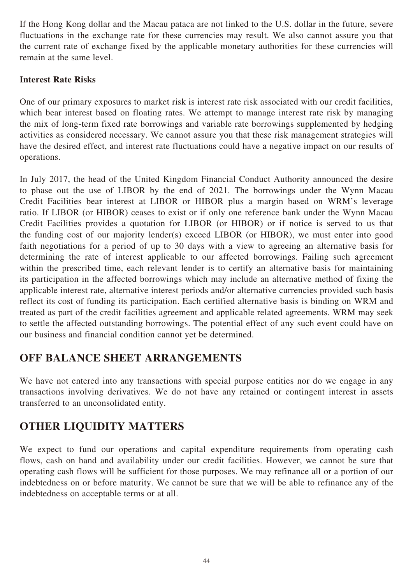If the Hong Kong dollar and the Macau pataca are not linked to the U.S. dollar in the future, severe fluctuations in the exchange rate for these currencies may result. We also cannot assure you that the current rate of exchange fixed by the applicable monetary authorities for these currencies will remain at the same level.

## **Interest Rate Risks**

One of our primary exposures to market risk is interest rate risk associated with our credit facilities, which bear interest based on floating rates. We attempt to manage interest rate risk by managing the mix of long-term fixed rate borrowings and variable rate borrowings supplemented by hedging activities as considered necessary. We cannot assure you that these risk management strategies will have the desired effect, and interest rate fluctuations could have a negative impact on our results of operations.

In July 2017, the head of the United Kingdom Financial Conduct Authority announced the desire to phase out the use of LIBOR by the end of 2021. The borrowings under the Wynn Macau Credit Facilities bear interest at LIBOR or HIBOR plus a margin based on WRM's leverage ratio. If LIBOR (or HIBOR) ceases to exist or if only one reference bank under the Wynn Macau Credit Facilities provides a quotation for LIBOR (or HIBOR) or if notice is served to us that the funding cost of our majority lender(s) exceed LIBOR (or HIBOR), we must enter into good faith negotiations for a period of up to 30 days with a view to agreeing an alternative basis for determining the rate of interest applicable to our affected borrowings. Failing such agreement within the prescribed time, each relevant lender is to certify an alternative basis for maintaining its participation in the affected borrowings which may include an alternative method of fixing the applicable interest rate, alternative interest periods and/or alternative currencies provided such basis reflect its cost of funding its participation. Each certified alternative basis is binding on WRM and treated as part of the credit facilities agreement and applicable related agreements. WRM may seek to settle the affected outstanding borrowings. The potential effect of any such event could have on our business and financial condition cannot yet be determined.

## **OFF BALANCE SHEET ARRANGEMENTS**

We have not entered into any transactions with special purpose entities nor do we engage in any transactions involving derivatives. We do not have any retained or contingent interest in assets transferred to an unconsolidated entity.

## **OTHER LIQUIDITY MATTERS**

We expect to fund our operations and capital expenditure requirements from operating cash flows, cash on hand and availability under our credit facilities. However, we cannot be sure that operating cash flows will be sufficient for those purposes. We may refinance all or a portion of our indebtedness on or before maturity. We cannot be sure that we will be able to refinance any of the indebtedness on acceptable terms or at all.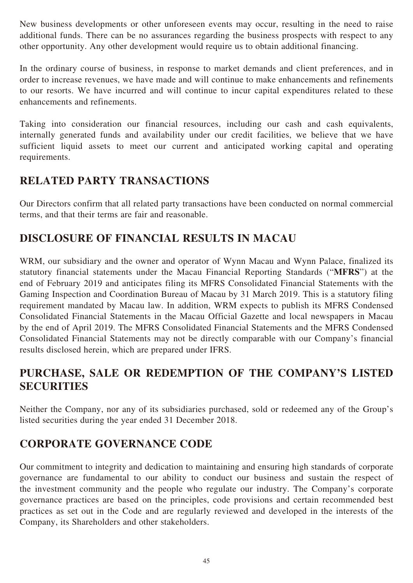New business developments or other unforeseen events may occur, resulting in the need to raise additional funds. There can be no assurances regarding the business prospects with respect to any other opportunity. Any other development would require us to obtain additional financing.

In the ordinary course of business, in response to market demands and client preferences, and in order to increase revenues, we have made and will continue to make enhancements and refinements to our resorts. We have incurred and will continue to incur capital expenditures related to these enhancements and refinements.

Taking into consideration our financial resources, including our cash and cash equivalents, internally generated funds and availability under our credit facilities, we believe that we have sufficient liquid assets to meet our current and anticipated working capital and operating requirements.

## **RELATED PARTY TRANSACTIONS**

Our Directors confirm that all related party transactions have been conducted on normal commercial terms, and that their terms are fair and reasonable.

## **DISCLOSURE OF FINANCIAL RESULTS IN MACAU**

WRM, our subsidiary and the owner and operator of Wynn Macau and Wynn Palace, finalized its statutory financial statements under the Macau Financial Reporting Standards ("**MFRS**") at the end of February 2019 and anticipates filing its MFRS Consolidated Financial Statements with the Gaming Inspection and Coordination Bureau of Macau by 31 March 2019. This is a statutory filing requirement mandated by Macau law. In addition, WRM expects to publish its MFRS Condensed Consolidated Financial Statements in the Macau Official Gazette and local newspapers in Macau by the end of April 2019. The MFRS Consolidated Financial Statements and the MFRS Condensed Consolidated Financial Statements may not be directly comparable with our Company's financial results disclosed herein, which are prepared under IFRS.

## **PURCHASE, SALE OR REDEMPTION OF THE COMPANY'S LISTED SECURITIES**

Neither the Company, nor any of its subsidiaries purchased, sold or redeemed any of the Group's listed securities during the year ended 31 December 2018.

## **CORPORATE GOVERNANCE CODE**

Our commitment to integrity and dedication to maintaining and ensuring high standards of corporate governance are fundamental to our ability to conduct our business and sustain the respect of the investment community and the people who regulate our industry. The Company's corporate governance practices are based on the principles, code provisions and certain recommended best practices as set out in the Code and are regularly reviewed and developed in the interests of the Company, its Shareholders and other stakeholders.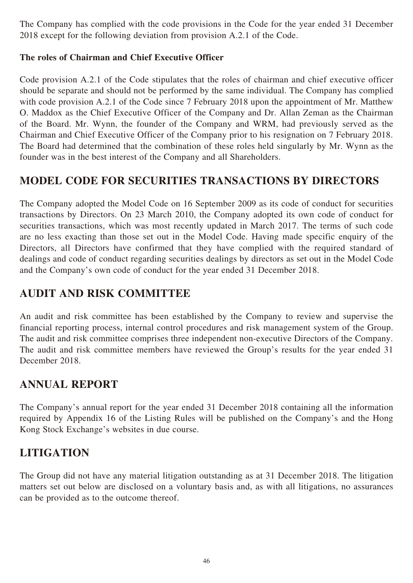The Company has complied with the code provisions in the Code for the year ended 31 December 2018 except for the following deviation from provision A.2.1 of the Code.

## **The roles of Chairman and Chief Executive Officer**

Code provision A.2.1 of the Code stipulates that the roles of chairman and chief executive officer should be separate and should not be performed by the same individual. The Company has complied with code provision A.2.1 of the Code since 7 February 2018 upon the appointment of Mr. Matthew O. Maddox as the Chief Executive Officer of the Company and Dr. Allan Zeman as the Chairman of the Board. Mr. Wynn, the founder of the Company and WRM, had previously served as the Chairman and Chief Executive Officer of the Company prior to his resignation on 7 February 2018. The Board had determined that the combination of these roles held singularly by Mr. Wynn as the founder was in the best interest of the Company and all Shareholders.

## **MODEL CODE FOR SECURITIES TRANSACTIONS BY DIRECTORS**

The Company adopted the Model Code on 16 September 2009 as its code of conduct for securities transactions by Directors. On 23 March 2010, the Company adopted its own code of conduct for securities transactions, which was most recently updated in March 2017. The terms of such code are no less exacting than those set out in the Model Code. Having made specific enquiry of the Directors, all Directors have confirmed that they have complied with the required standard of dealings and code of conduct regarding securities dealings by directors as set out in the Model Code and the Company's own code of conduct for the year ended 31 December 2018.

## **AUDIT AND RISK COMMITTEE**

An audit and risk committee has been established by the Company to review and supervise the financial reporting process, internal control procedures and risk management system of the Group. The audit and risk committee comprises three independent non-executive Directors of the Company. The audit and risk committee members have reviewed the Group's results for the year ended 31 December 2018.

## **ANNUAL REPORT**

The Company's annual report for the year ended 31 December 2018 containing all the information required by Appendix 16 of the Listing Rules will be published on the Company's and the Hong Kong Stock Exchange's websites in due course.

## **LITIGATION**

The Group did not have any material litigation outstanding as at 31 December 2018. The litigation matters set out below are disclosed on a voluntary basis and, as with all litigations, no assurances can be provided as to the outcome thereof.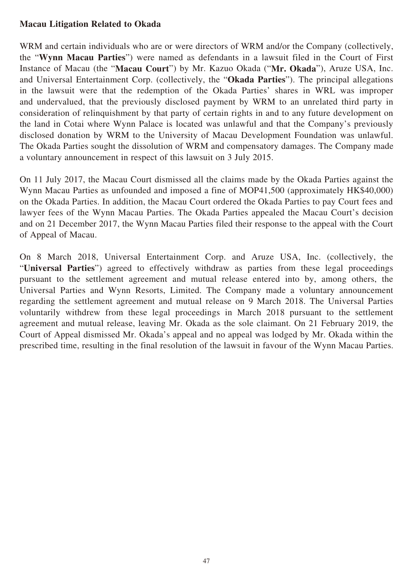## **Macau Litigation Related to Okada**

WRM and certain individuals who are or were directors of WRM and/or the Company (collectively, the "**Wynn Macau Parties**") were named as defendants in a lawsuit filed in the Court of First Instance of Macau (the "**Macau Court**") by Mr. Kazuo Okada ("**Mr. Okada**"), Aruze USA, Inc. and Universal Entertainment Corp. (collectively, the "**Okada Parties**"). The principal allegations in the lawsuit were that the redemption of the Okada Parties' shares in WRL was improper and undervalued, that the previously disclosed payment by WRM to an unrelated third party in consideration of relinquishment by that party of certain rights in and to any future development on the land in Cotai where Wynn Palace is located was unlawful and that the Company's previously disclosed donation by WRM to the University of Macau Development Foundation was unlawful. The Okada Parties sought the dissolution of WRM and compensatory damages. The Company made a voluntary announcement in respect of this lawsuit on 3 July 2015.

On 11 July 2017, the Macau Court dismissed all the claims made by the Okada Parties against the Wynn Macau Parties as unfounded and imposed a fine of MOP41,500 (approximately HK\$40,000) on the Okada Parties. In addition, the Macau Court ordered the Okada Parties to pay Court fees and lawyer fees of the Wynn Macau Parties. The Okada Parties appealed the Macau Court's decision and on 21 December 2017, the Wynn Macau Parties filed their response to the appeal with the Court of Appeal of Macau.

On 8 March 2018, Universal Entertainment Corp. and Aruze USA, Inc. (collectively, the "**Universal Parties**") agreed to effectively withdraw as parties from these legal proceedings pursuant to the settlement agreement and mutual release entered into by, among others, the Universal Parties and Wynn Resorts, Limited. The Company made a voluntary announcement regarding the settlement agreement and mutual release on 9 March 2018. The Universal Parties voluntarily withdrew from these legal proceedings in March 2018 pursuant to the settlement agreement and mutual release, leaving Mr. Okada as the sole claimant. On 21 February 2019, the Court of Appeal dismissed Mr. Okada's appeal and no appeal was lodged by Mr. Okada within the prescribed time, resulting in the final resolution of the lawsuit in favour of the Wynn Macau Parties.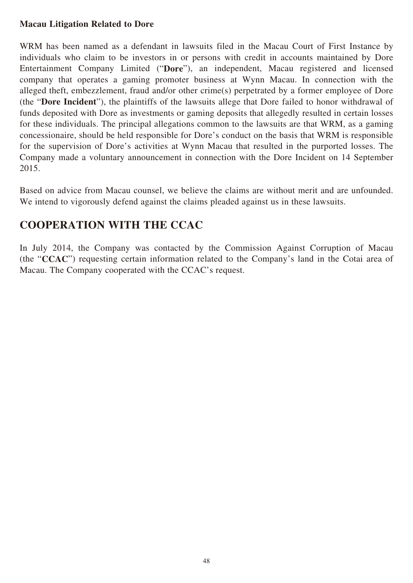## **Macau Litigation Related to Dore**

WRM has been named as a defendant in lawsuits filed in the Macau Court of First Instance by individuals who claim to be investors in or persons with credit in accounts maintained by Dore Entertainment Company Limited ("**Dore**"), an independent, Macau registered and licensed company that operates a gaming promoter business at Wynn Macau. In connection with the alleged theft, embezzlement, fraud and/or other crime(s) perpetrated by a former employee of Dore (the "**Dore Incident**"), the plaintiffs of the lawsuits allege that Dore failed to honor withdrawal of funds deposited with Dore as investments or gaming deposits that allegedly resulted in certain losses for these individuals. The principal allegations common to the lawsuits are that WRM, as a gaming concessionaire, should be held responsible for Dore's conduct on the basis that WRM is responsible for the supervision of Dore's activities at Wynn Macau that resulted in the purported losses. The Company made a voluntary announcement in connection with the Dore Incident on 14 September 2015.

Based on advice from Macau counsel, we believe the claims are without merit and are unfounded. We intend to vigorously defend against the claims pleaded against us in these lawsuits.

## **COOPERATION WITH THE CCAC**

In July 2014, the Company was contacted by the Commission Against Corruption of Macau (the "**CCAC**") requesting certain information related to the Company's land in the Cotai area of Macau. The Company cooperated with the CCAC's request.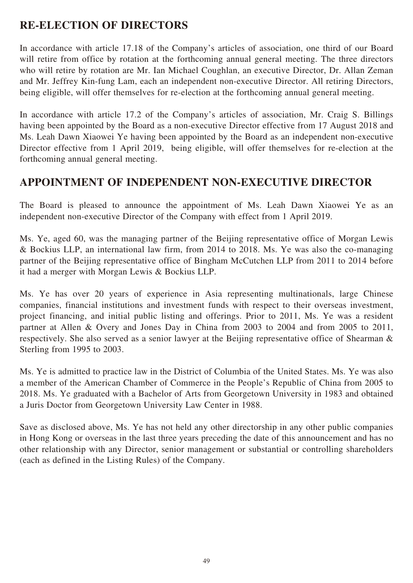## **RE-ELECTION OF DIRECTORS**

In accordance with article 17.18 of the Company's articles of association, one third of our Board will retire from office by rotation at the forthcoming annual general meeting. The three directors who will retire by rotation are Mr. Ian Michael Coughlan, an executive Director, Dr. Allan Zeman and Mr. Jeffrey Kin-fung Lam, each an independent non-executive Director. All retiring Directors, being eligible, will offer themselves for re-election at the forthcoming annual general meeting.

In accordance with article 17.2 of the Company's articles of association, Mr. Craig S. Billings having been appointed by the Board as a non-executive Director effective from 17 August 2018 and Ms. Leah Dawn Xiaowei Ye having been appointed by the Board as an independent non-executive Director effective from 1 April 2019, being eligible, will offer themselves for re-election at the forthcoming annual general meeting.

## **APPOINTMENT OF INDEPENDENT NON-EXECUTIVE DIRECTOR**

The Board is pleased to announce the appointment of Ms. Leah Dawn Xiaowei Ye as an independent non-executive Director of the Company with effect from 1 April 2019.

Ms. Ye, aged 60, was the managing partner of the Beijing representative office of Morgan Lewis & Bockius LLP, an international law firm, from 2014 to 2018. Ms. Ye was also the co-managing partner of the Beijing representative office of Bingham McCutchen LLP from 2011 to 2014 before it had a merger with Morgan Lewis & Bockius LLP.

Ms. Ye has over 20 years of experience in Asia representing multinationals, large Chinese companies, financial institutions and investment funds with respect to their overseas investment, project financing, and initial public listing and offerings. Prior to 2011, Ms. Ye was a resident partner at Allen & Overy and Jones Day in China from 2003 to 2004 and from 2005 to 2011, respectively. She also served as a senior lawyer at the Beijing representative office of Shearman & Sterling from 1995 to 2003.

Ms. Ye is admitted to practice law in the District of Columbia of the United States. Ms. Ye was also a member of the American Chamber of Commerce in the People's Republic of China from 2005 to 2018. Ms. Ye graduated with a Bachelor of Arts from Georgetown University in 1983 and obtained a Juris Doctor from Georgetown University Law Center in 1988.

Save as disclosed above, Ms. Ye has not held any other directorship in any other public companies in Hong Kong or overseas in the last three years preceding the date of this announcement and has no other relationship with any Director, senior management or substantial or controlling shareholders (each as defined in the Listing Rules) of the Company.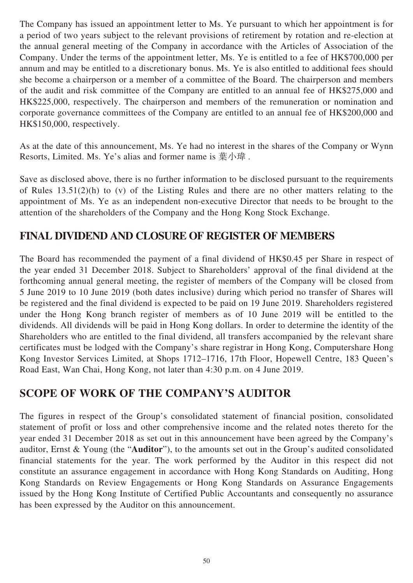The Company has issued an appointment letter to Ms. Ye pursuant to which her appointment is for a period of two years subject to the relevant provisions of retirement by rotation and re-election at the annual general meeting of the Company in accordance with the Articles of Association of the Company. Under the terms of the appointment letter, Ms. Ye is entitled to a fee of HK\$700,000 per annum and may be entitled to a discretionary bonus. Ms. Ye is also entitled to additional fees should she become a chairperson or a member of a committee of the Board. The chairperson and members of the audit and risk committee of the Company are entitled to an annual fee of HK\$275,000 and HK\$225,000, respectively. The chairperson and members of the remuneration or nomination and corporate governance committees of the Company are entitled to an annual fee of HK\$200,000 and HK\$150,000, respectively.

As at the date of this announcement, Ms. Ye had no interest in the shares of the Company or Wynn Resorts, Limited. Ms. Ye's alias and former name is 葉小瑋.

Save as disclosed above, there is no further information to be disclosed pursuant to the requirements of Rules 13.51(2)(h) to (v) of the Listing Rules and there are no other matters relating to the appointment of Ms. Ye as an independent non-executive Director that needs to be brought to the attention of the shareholders of the Company and the Hong Kong Stock Exchange.

## **FINAL DIVIDEND AND CLOSURE OF REGISTER OF MEMBERS**

The Board has recommended the payment of a final dividend of HK\$0.45 per Share in respect of the year ended 31 December 2018. Subject to Shareholders' approval of the final dividend at the forthcoming annual general meeting, the register of members of the Company will be closed from 5 June 2019 to 10 June 2019 (both dates inclusive) during which period no transfer of Shares will be registered and the final dividend is expected to be paid on 19 June 2019. Shareholders registered under the Hong Kong branch register of members as of 10 June 2019 will be entitled to the dividends. All dividends will be paid in Hong Kong dollars. In order to determine the identity of the Shareholders who are entitled to the final dividend, all transfers accompanied by the relevant share certificates must be lodged with the Company's share registrar in Hong Kong, Computershare Hong Kong Investor Services Limited, at Shops 1712–1716, 17th Floor, Hopewell Centre, 183 Queen's Road East, Wan Chai, Hong Kong, not later than 4:30 p.m. on 4 June 2019.

## **SCOPE OF WORK OF THE COMPANY'S AUDITOR**

The figures in respect of the Group's consolidated statement of financial position, consolidated statement of profit or loss and other comprehensive income and the related notes thereto for the year ended 31 December 2018 as set out in this announcement have been agreed by the Company's auditor, Ernst & Young (the "**Auditor**"), to the amounts set out in the Group's audited consolidated financial statements for the year. The work performed by the Auditor in this respect did not constitute an assurance engagement in accordance with Hong Kong Standards on Auditing, Hong Kong Standards on Review Engagements or Hong Kong Standards on Assurance Engagements issued by the Hong Kong Institute of Certified Public Accountants and consequently no assurance has been expressed by the Auditor on this announcement.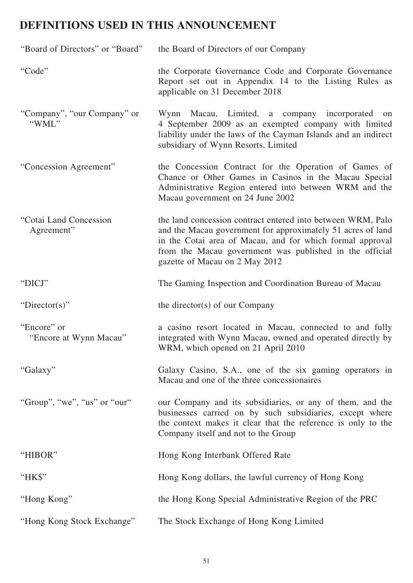# **DEFINITIONS USED IN THIS ANNOUNCEMENT**

| "Board of Directors" or "Board"       | the Board of Directors of our Company                                                                                                                                                                                                                                                |
|---------------------------------------|--------------------------------------------------------------------------------------------------------------------------------------------------------------------------------------------------------------------------------------------------------------------------------------|
| "Code"                                | the Corporate Governance Code and Corporate Governance<br>Report set out in Appendix 14 to the Listing Rules as<br>applicable on 31 December 2018                                                                                                                                    |
| "Company", "our Company" or<br>"WML"  | Wynn Macau, Limited, a company incorporated on<br>4 September 2009 as an exempted company with limited<br>liability under the laws of the Cayman Islands and an indirect<br>subsidiary of Wynn Resorts, Limited                                                                      |
| "Concession Agreement"                | the Concession Contract for the Operation of Games of<br>Chance or Other Games in Casinos in the Macau Special<br>Administrative Region entered into between WRM and the<br>Macau government on 24 June 2002                                                                         |
| "Cotai Land Concession<br>Agreement"  | the land concession contract entered into between WRM, Palo<br>and the Macau government for approximately 51 acres of land<br>in the Cotai area of Macau, and for which formal approval<br>from the Macau government was published in the official<br>gazette of Macau on 2 May 2012 |
| "DICJ"                                | The Gaming Inspection and Coordination Bureau of Macau                                                                                                                                                                                                                               |
| "Director(s)"                         | the director(s) of our Company                                                                                                                                                                                                                                                       |
| "Encore" or<br>"Encore at Wynn Macau" | a casino resort located in Macau, connected to and fully<br>integrated with Wynn Macau, owned and operated directly by<br>WRM, which opened on 21 April 2010                                                                                                                         |
| "Galaxy"                              | Galaxy Casino, S.A., one of the six gaming operators in<br>Macau and one of the three concessionaires                                                                                                                                                                                |
| "Group", "we", "us" or "our"          | our Company and its subsidiaries, or any of them, and the<br>businesses carried on by such subsidiaries, except where<br>the context makes it clear that the reference is only to the<br>Company itself and not to the Group                                                         |
| "HIBOR"                               | Hong Kong Interbank Offered Rate                                                                                                                                                                                                                                                     |
| " $HKS$ "                             | Hong Kong dollars, the lawful currency of Hong Kong                                                                                                                                                                                                                                  |
| "Hong Kong"                           | the Hong Kong Special Administrative Region of the PRC                                                                                                                                                                                                                               |
| "Hong Kong Stock Exchange"            | The Stock Exchange of Hong Kong Limited                                                                                                                                                                                                                                              |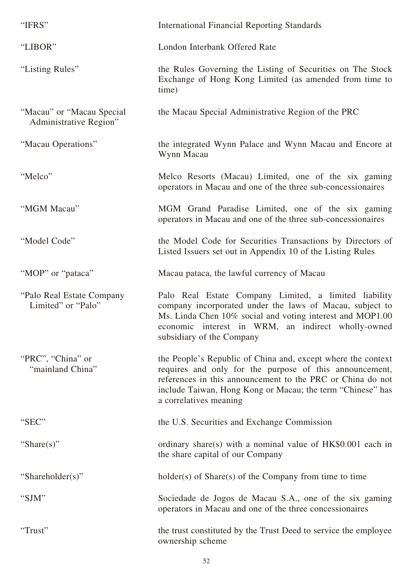| "IFRS"                                               | <b>International Financial Reporting Standards</b>                                                                                                                                                                                                                            |
|------------------------------------------------------|-------------------------------------------------------------------------------------------------------------------------------------------------------------------------------------------------------------------------------------------------------------------------------|
| "LIBOR"                                              | London Interbank Offered Rate                                                                                                                                                                                                                                                 |
| "Listing Rules"                                      | the Rules Governing the Listing of Securities on The Stock<br>Exchange of Hong Kong Limited (as amended from time to<br>time)                                                                                                                                                 |
| "Macau" or "Macau Special"<br>Administrative Region" | the Macau Special Administrative Region of the PRC                                                                                                                                                                                                                            |
| "Macau Operations"                                   | the integrated Wynn Palace and Wynn Macau and Encore at<br>Wynn Macau                                                                                                                                                                                                         |
| "Melco"                                              | Melco Resorts (Macau) Limited, one of the six gaming<br>operators in Macau and one of the three sub-concessionaires                                                                                                                                                           |
| "MGM Macau"                                          | MGM Grand Paradise Limited, one of the six gaming<br>operators in Macau and one of the three sub-concessionaires                                                                                                                                                              |
| "Model Code"                                         | the Model Code for Securities Transactions by Directors of<br>Listed Issuers set out in Appendix 10 of the Listing Rules                                                                                                                                                      |
| "MOP" or "pataca"                                    | Macau pataca, the lawful currency of Macau                                                                                                                                                                                                                                    |
| "Palo Real Estate Company"<br>Limited" or "Palo"     | Palo Real Estate Company Limited, a limited liability<br>company incorporated under the laws of Macau, subject to<br>Ms. Linda Chen 10% social and voting interest and MOP1.00<br>economic interest in WRM, an indirect wholly-owned<br>subsidiary of the Company             |
| "PRC", "China" or<br>"mainland China"                | the People's Republic of China and, except where the context<br>requires and only for the purpose of this announcement,<br>references in this announcement to the PRC or China do not<br>include Taiwan, Hong Kong or Macau; the term "Chinese" has<br>a correlatives meaning |
| "SEC"                                                | the U.S. Securities and Exchange Commission                                                                                                                                                                                                                                   |
| "Share(s)"                                           | ordinary share(s) with a nominal value of $HK$0.001$ each in<br>the share capital of our Company                                                                                                                                                                              |
| "Shareholder(s)"                                     | $holder(s)$ of $Share(s)$ of the Company from time to time                                                                                                                                                                                                                    |
| "SJM"                                                | Sociedade de Jogos de Macau S.A., one of the six gaming<br>operators in Macau and one of the three concessionaires                                                                                                                                                            |
| "Trust"                                              | the trust constituted by the Trust Deed to service the employee<br>ownership scheme                                                                                                                                                                                           |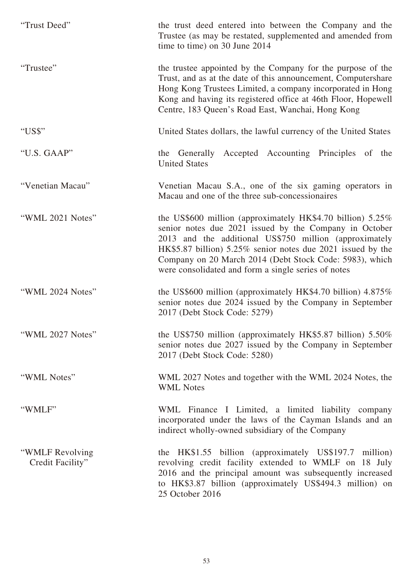| "Trust Deed"                        | the trust deed entered into between the Company and the<br>Trustee (as may be restated, supplemented and amended from<br>time to time) on 30 June 2014                                                                                                                                                                                                             |
|-------------------------------------|--------------------------------------------------------------------------------------------------------------------------------------------------------------------------------------------------------------------------------------------------------------------------------------------------------------------------------------------------------------------|
| "Trustee"                           | the trustee appointed by the Company for the purpose of the<br>Trust, and as at the date of this announcement, Computershare<br>Hong Kong Trustees Limited, a company incorporated in Hong<br>Kong and having its registered office at 46th Floor, Hopewell<br>Centre, 183 Queen's Road East, Wanchai, Hong Kong                                                   |
| "US\$"                              | United States dollars, the lawful currency of the United States                                                                                                                                                                                                                                                                                                    |
| "U.S. GAAP"                         | the Generally Accepted Accounting Principles of the<br><b>United States</b>                                                                                                                                                                                                                                                                                        |
| "Venetian Macau"                    | Venetian Macau S.A., one of the six gaming operators in<br>Macau and one of the three sub-concessionaires                                                                                                                                                                                                                                                          |
| "WML 2021 Notes"                    | the US\$600 million (approximately HK\$4.70 billion) $5.25\%$<br>senior notes due 2021 issued by the Company in October<br>2013 and the additional US\$750 million (approximately<br>HK\$5.87 billion) 5.25% senior notes due 2021 issued by the<br>Company on 20 March 2014 (Debt Stock Code: 5983), which<br>were consolidated and form a single series of notes |
| "WML 2024 Notes"                    | the US\$600 million (approximately HK\$4.70 billion) 4.875%<br>senior notes due 2024 issued by the Company in September<br>2017 (Debt Stock Code: 5279)                                                                                                                                                                                                            |
| "WML 2027 Notes"                    | the US\$750 million (approximately HK\$5.87 billion) $5.50\%$<br>senior notes due 2027 issued by the Company in September<br>2017 (Debt Stock Code: 5280)                                                                                                                                                                                                          |
| "WML Notes"                         | WML 2027 Notes and together with the WML 2024 Notes, the<br><b>WML Notes</b>                                                                                                                                                                                                                                                                                       |
| "WMLF"                              | WML Finance I Limited, a limited liability company<br>incorporated under the laws of the Cayman Islands and an<br>indirect wholly-owned subsidiary of the Company                                                                                                                                                                                                  |
| "WMLF Revolving<br>Credit Facility" | the HK\$1.55 billion (approximately US\$197.7 million)<br>revolving credit facility extended to WMLF on 18 July<br>2016 and the principal amount was subsequently increased<br>to HK\$3.87 billion (approximately US\$494.3 million) on<br>25 October 2016                                                                                                         |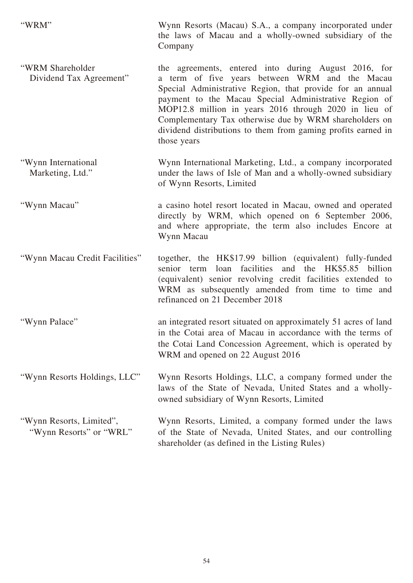"WRM" Wynn Resorts (Macau) S.A., a company incorporated under the laws of Macau and a wholly-owned subsidiary of the Company "WRM Shareholder Dividend Tax Agreement" the agreements, entered into during August 2016, for a term of five years between WRM and the Macau Special Administrative Region, that provide for an annual payment to the Macau Special Administrative Region of MOP12.8 million in years 2016 through 2020 in lieu of Complementary Tax otherwise due by WRM shareholders on dividend distributions to them from gaming profits earned in those years "Wynn International Marketing, Ltd." Wynn International Marketing, Ltd., a company incorporated under the laws of Isle of Man and a wholly-owned subsidiary of Wynn Resorts, Limited "Wynn Macau" a casino hotel resort located in Macau, owned and operated directly by WRM, which opened on 6 September 2006, and where appropriate, the term also includes Encore at Wynn Macau "Wynn Macau Credit Facilities" together, the HK\$17.99 billion (equivalent) fully-funded senior term loan facilities and the HK\$5.85 billion (equivalent) senior revolving credit facilities extended to

WRM as subsequently amended from time to time and refinanced on 21 December 2018

"Wynn Palace" an integrated resort situated on approximately 51 acres of land in the Cotai area of Macau in accordance with the terms of the Cotai Land Concession Agreement, which is operated by WRM and opened on 22 August 2016

"Wynn Resorts Holdings, LLC" Wynn Resorts Holdings, LLC, a company formed under the laws of the State of Nevada, United States and a whollyowned subsidiary of Wynn Resorts, Limited

"Wynn Resorts, Limited", "Wynn Resorts" or "WRL" Wynn Resorts, Limited, a company formed under the laws of the State of Nevada, United States, and our controlling shareholder (as defined in the Listing Rules)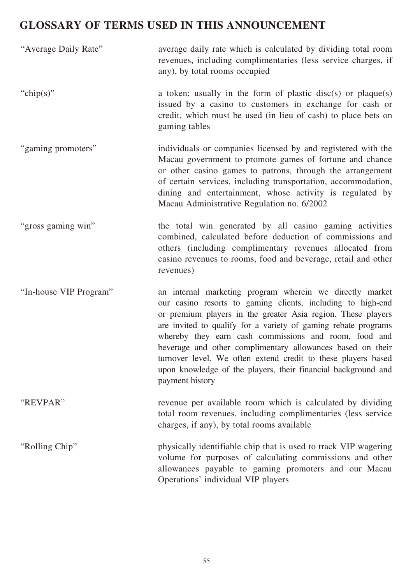# **GLOSSARY OF TERMS USED IN THIS ANNOUNCEMENT**

| "Average Daily Rate"   | average daily rate which is calculated by dividing total room<br>revenues, including complimentaries (less service charges, if<br>any), by total rooms occupied                                                                                                                                                                                                                                                                                                                                                                       |
|------------------------|---------------------------------------------------------------------------------------------------------------------------------------------------------------------------------------------------------------------------------------------------------------------------------------------------------------------------------------------------------------------------------------------------------------------------------------------------------------------------------------------------------------------------------------|
| "chip(s)"              | a token; usually in the form of plastic disc(s) or plaque(s)<br>issued by a casino to customers in exchange for cash or<br>credit, which must be used (in lieu of cash) to place bets on<br>gaming tables                                                                                                                                                                                                                                                                                                                             |
| "gaming promoters"     | individuals or companies licensed by and registered with the<br>Macau government to promote games of fortune and chance<br>or other casino games to patrons, through the arrangement<br>of certain services, including transportation, accommodation,<br>dining and entertainment, whose activity is regulated by<br>Macau Administrative Regulation no. 6/2002                                                                                                                                                                       |
| "gross gaming win"     | the total win generated by all casino gaming activities<br>combined, calculated before deduction of commissions and<br>others (including complimentary revenues allocated from<br>casino revenues to rooms, food and beverage, retail and other<br>revenues)                                                                                                                                                                                                                                                                          |
| "In-house VIP Program" | an internal marketing program wherein we directly market<br>our casino resorts to gaming clients, including to high-end<br>or premium players in the greater Asia region. These players<br>are invited to qualify for a variety of gaming rebate programs<br>whereby they earn cash commissions and room, food and<br>beverage and other complimentary allowances based on their<br>turnover level. We often extend credit to these players based<br>upon knowledge of the players, their financial background and<br>payment history |
| "REVPAR"               | revenue per available room which is calculated by dividing<br>total room revenues, including complimentaries (less service<br>charges, if any), by total rooms available                                                                                                                                                                                                                                                                                                                                                              |
| "Rolling Chip"         | physically identifiable chip that is used to track VIP wagering<br>volume for purposes of calculating commissions and other<br>allowances payable to gaming promoters and our Macau<br>Operations' individual VIP players                                                                                                                                                                                                                                                                                                             |